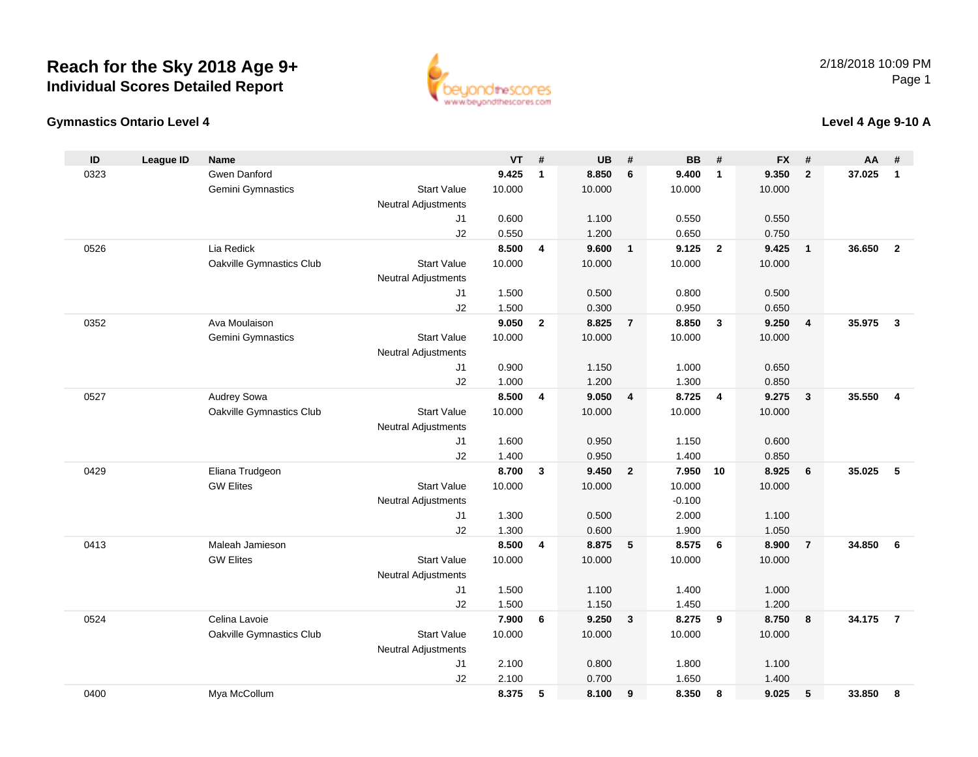

#### **Gymnastics Ontario Level 4**

### **Level 4 Age 9-10 A**

| ID   | <b>League ID</b> | <b>Name</b>              |                            | <b>VT</b>      | #            | <b>UB</b>      | #              | <b>BB</b>      | #              | <b>FX</b>      | #              | AA     | #                       |
|------|------------------|--------------------------|----------------------------|----------------|--------------|----------------|----------------|----------------|----------------|----------------|----------------|--------|-------------------------|
| 0323 |                  | Gwen Danford             |                            | 9.425          | $\mathbf{1}$ | 8.850          | 6              | 9.400          | $\mathbf{1}$   | 9.350          | $\overline{2}$ | 37.025 | $\mathbf{1}$            |
|      |                  | Gemini Gymnastics        | <b>Start Value</b>         | 10.000         |              | 10.000         |                | 10.000         |                | 10.000         |                |        |                         |
|      |                  |                          | <b>Neutral Adjustments</b> |                |              |                |                |                |                |                |                |        |                         |
|      |                  |                          | J <sub>1</sub>             | 0.600          |              | 1.100          |                | 0.550          |                | 0.550          |                |        |                         |
|      |                  |                          | J2                         | 0.550          |              | 1.200          |                | 0.650          |                | 0.750          |                |        |                         |
| 0526 |                  | Lia Redick               |                            | 8.500          | 4            | 9.600          | $\overline{1}$ | 9.125          | $\overline{2}$ | 9.425          | $\overline{1}$ | 36.650 | $\overline{2}$          |
|      |                  | Oakville Gymnastics Club | <b>Start Value</b>         | 10.000         |              | 10.000         |                | 10.000         |                | 10.000         |                |        |                         |
|      |                  |                          | <b>Neutral Adjustments</b> |                |              |                |                |                |                |                |                |        |                         |
|      |                  |                          | J <sub>1</sub>             | 1.500          |              | 0.500          |                | 0.800          |                | 0.500          |                |        |                         |
|      |                  |                          | J2                         | 1.500          |              | 0.300          |                | 0.950          |                | 0.650          |                |        |                         |
| 0352 |                  | Ava Moulaison            |                            | 9.050          | $\mathbf{2}$ | 8.825          | $\overline{7}$ | 8.850          | $\mathbf{3}$   | 9.250          | $\overline{4}$ | 35.975 | $\mathbf{3}$            |
|      |                  | Gemini Gymnastics        | <b>Start Value</b>         | 10.000         |              | 10.000         |                | 10.000         |                | 10.000         |                |        |                         |
|      |                  |                          | <b>Neutral Adjustments</b> |                |              |                |                |                |                |                |                |        |                         |
|      |                  |                          | J <sub>1</sub>             | 0.900          |              | 1.150          |                | 1.000          |                | 0.650          |                |        |                         |
|      |                  |                          | J2                         | 1.000          |              | 1.200          |                | 1.300          |                | 0.850          |                |        |                         |
| 0527 |                  | Audrey Sowa              |                            | 8.500          | 4            | 9.050          | $\overline{4}$ | 8.725          | $\overline{4}$ | 9.275          | $\mathbf{3}$   | 35.550 | $\overline{\mathbf{4}}$ |
|      |                  | Oakville Gymnastics Club | <b>Start Value</b>         | 10.000         |              | 10.000         |                | 10.000         |                | 10.000         |                |        |                         |
|      |                  |                          | <b>Neutral Adjustments</b> |                |              |                |                |                |                |                |                |        |                         |
|      |                  |                          | J1<br>J2                   | 1.600<br>1.400 |              | 0.950<br>0.950 |                | 1.150<br>1.400 |                | 0.600<br>0.850 |                |        |                         |
| 0429 |                  | Eliana Trudgeon          |                            | 8.700          | $\mathbf{3}$ | 9.450          | $\overline{2}$ | 7.950          | 10             | 8.925          | 6              | 35.025 | 5                       |
|      |                  | <b>GW Elites</b>         | <b>Start Value</b>         | 10.000         |              | 10.000         |                | 10.000         |                | 10.000         |                |        |                         |
|      |                  |                          | <b>Neutral Adjustments</b> |                |              |                |                | $-0.100$       |                |                |                |        |                         |
|      |                  |                          | J1                         | 1.300          |              | 0.500          |                | 2.000          |                | 1.100          |                |        |                         |
|      |                  |                          | J2                         | 1.300          |              | 0.600          |                | 1.900          |                | 1.050          |                |        |                         |
| 0413 |                  | Maleah Jamieson          |                            | 8.500          | 4            | 8.875          | 5              | 8.575          | 6              | 8.900          | $\overline{7}$ | 34.850 | 6                       |
|      |                  | <b>GW Elites</b>         | <b>Start Value</b>         | 10.000         |              | 10.000         |                | 10.000         |                | 10.000         |                |        |                         |
|      |                  |                          | <b>Neutral Adjustments</b> |                |              |                |                |                |                |                |                |        |                         |
|      |                  |                          | J1                         | 1.500          |              | 1.100          |                | 1.400          |                | 1.000          |                |        |                         |
|      |                  |                          | J2                         | 1.500          |              | 1.150          |                | 1.450          |                | 1.200          |                |        |                         |
| 0524 |                  | Celina Lavoie            |                            | 7.900          | 6            | 9.250          | $\mathbf{3}$   | 8.275          | 9              | 8.750          | 8              | 34.175 | $\overline{7}$          |
|      |                  | Oakville Gymnastics Club | <b>Start Value</b>         | 10.000         |              | 10.000         |                | 10.000         |                | 10.000         |                |        |                         |
|      |                  |                          | <b>Neutral Adjustments</b> |                |              |                |                |                |                |                |                |        |                         |
|      |                  |                          | J1                         | 2.100          |              | 0.800          |                | 1.800          |                | 1.100          |                |        |                         |
|      |                  |                          | J2                         | 2.100          |              | 0.700          |                | 1.650          |                | 1.400          |                |        |                         |
| 0400 |                  | Mya McCollum             |                            | 8.375          | 5            | 8.100          | 9              | 8.350          | 8              | 9.025          | 5              | 33.850 | 8                       |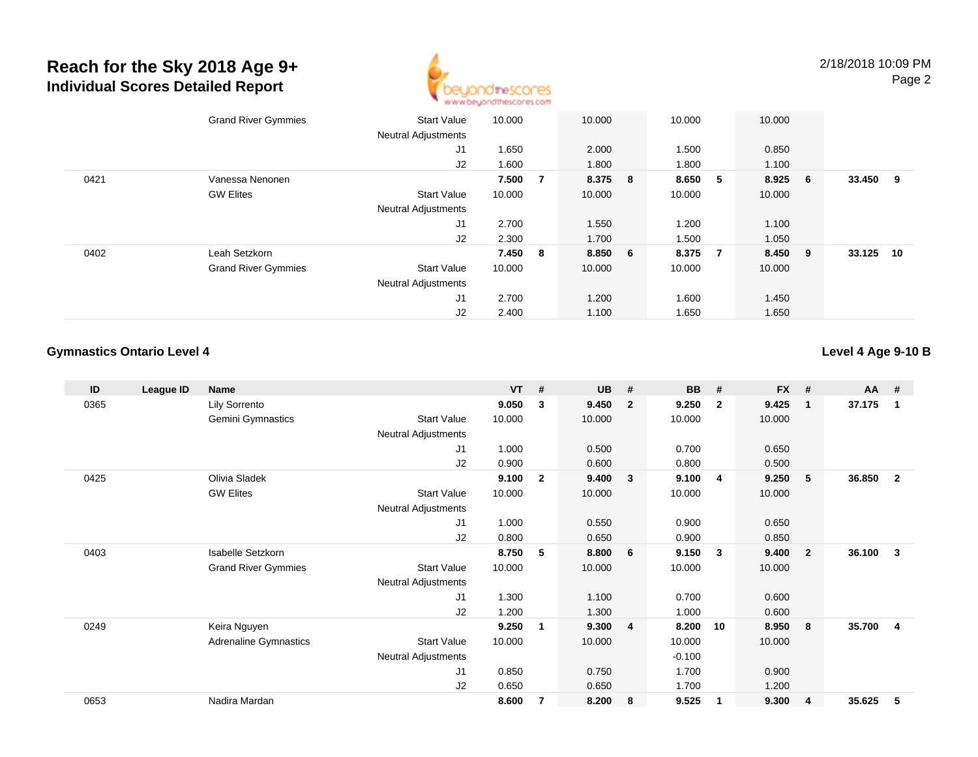

|      | <b>Grand River Gymmies</b> | Start Value                | 10.000  |                | 10.000  | 10.000 | 10.000                  |     |        |     |
|------|----------------------------|----------------------------|---------|----------------|---------|--------|-------------------------|-----|--------|-----|
|      |                            | <b>Neutral Adjustments</b> |         |                |         |        |                         |     |        |     |
|      |                            | J1                         | 1.650   |                | 2.000   | 1.500  | 0.850                   |     |        |     |
|      |                            | J2                         | 1.600   |                | 1.800   | 1.800  | 1.100                   |     |        |     |
| 0421 | Vanessa Nenonen            |                            | 7.500   | $\overline{7}$ | 8.375 8 | 8.650  | 8.925<br>5              | - 6 | 33.450 | - 9 |
|      | <b>GW Elites</b>           | <b>Start Value</b>         | 10.000  |                | 10.000  | 10.000 | 10.000                  |     |        |     |
|      |                            | <b>Neutral Adjustments</b> |         |                |         |        |                         |     |        |     |
|      |                            | J1                         | 2.700   |                | 1.550   | 1.200  | 1.100                   |     |        |     |
|      |                            | J2                         | 2.300   |                | 1.700   | 1.500  | 1.050                   |     |        |     |
| 0402 | Leah Setzkorn              |                            | 7.450 8 |                | 8.850 6 | 8.375  | 8.450<br>$\overline{7}$ | - 9 | 33.125 | 10  |
|      | <b>Grand River Gymmies</b> | <b>Start Value</b>         | 10.000  |                | 10.000  | 10.000 | 10.000                  |     |        |     |
|      |                            | <b>Neutral Adjustments</b> |         |                |         |        |                         |     |        |     |
|      |                            | J1                         | 2.700   |                | 1.200   | 1.600  | 1.450                   |     |        |     |
|      |                            | J2                         | 2.400   |                | 1.100   | 1.650  | 1.650                   |     |        |     |

#### **Gymnastics Ontario Level 4**

#### **Level 4 Age 9-10 B**

| ID   | League ID | <b>Name</b>                |                            | <b>VT</b> | - #            | <b>UB</b> | #              | <b>BB</b> | #              | <b>FX</b> | #              | <b>AA</b> | #                       |
|------|-----------|----------------------------|----------------------------|-----------|----------------|-----------|----------------|-----------|----------------|-----------|----------------|-----------|-------------------------|
| 0365 |           | Lily Sorrento              |                            | 9.050     | 3              | 9.450     | $\overline{2}$ | 9.250     | $\overline{2}$ | 9.425     | $\mathbf{1}$   | 37.175    | 1                       |
|      |           | Gemini Gymnastics          | <b>Start Value</b>         | 10.000    |                | 10.000    |                | 10.000    |                | 10.000    |                |           |                         |
|      |           |                            | Neutral Adjustments        |           |                |           |                |           |                |           |                |           |                         |
|      |           |                            | J1                         | 1.000     |                | 0.500     |                | 0.700     |                | 0.650     |                |           |                         |
|      |           |                            | J <sub>2</sub>             | 0.900     |                | 0.600     |                | 0.800     |                | 0.500     |                |           |                         |
| 0425 |           | Olivia Sladek              |                            | 9.100     | $\mathbf{2}$   | 9.400     | $\mathbf{3}$   | 9.100     | 4              | 9.250     | -5             | 36.850    | $\overline{2}$          |
|      |           | <b>GW Elites</b>           | <b>Start Value</b>         | 10.000    |                | 10.000    |                | 10.000    |                | 10.000    |                |           |                         |
|      |           |                            | Neutral Adjustments        |           |                |           |                |           |                |           |                |           |                         |
|      |           |                            | J1                         | 1.000     |                | 0.550     |                | 0.900     |                | 0.650     |                |           |                         |
|      |           |                            | J2                         | 0.800     |                | 0.650     |                | 0.900     |                | 0.850     |                |           |                         |
| 0403 |           | Isabelle Setzkorn          |                            | 8.750     | 5              | 8.800     | - 6            | 9.150     | -3             | 9.400     | $\overline{2}$ | 36.100    | 3                       |
|      |           | <b>Grand River Gymmies</b> | <b>Start Value</b>         | 10.000    |                | 10.000    |                | 10.000    |                | 10.000    |                |           |                         |
|      |           |                            | Neutral Adjustments        |           |                |           |                |           |                |           |                |           |                         |
|      |           |                            | J1                         | 1.300     |                | 1.100     |                | 0.700     |                | 0.600     |                |           |                         |
|      |           |                            | J2                         | 1.200     |                | 1.300     |                | 1.000     |                | 0.600     |                |           |                         |
| 0249 |           | Keira Nguyen               |                            | 9.250     | 1              | 9.300     | $\overline{4}$ | 8.200     | 10             | 8.950     | 8              | 35.700    | $\overline{\mathbf{4}}$ |
|      |           | Adrenaline Gymnastics      | <b>Start Value</b>         | 10.000    |                | 10.000    |                | 10.000    |                | 10.000    |                |           |                         |
|      |           |                            | <b>Neutral Adjustments</b> |           |                |           |                | $-0.100$  |                |           |                |           |                         |
|      |           |                            | J <sub>1</sub>             | 0.850     |                | 0.750     |                | 1.700     |                | 0.900     |                |           |                         |
|      |           |                            | J2                         | 0.650     |                | 0.650     |                | 1.700     |                | 1.200     |                |           |                         |
| 0653 |           | Nadira Mardan              |                            | 8.600     | $\overline{7}$ | 8.200     | 8              | 9.525     | -1             | 9.300     | $\overline{4}$ | 35.625    | 5                       |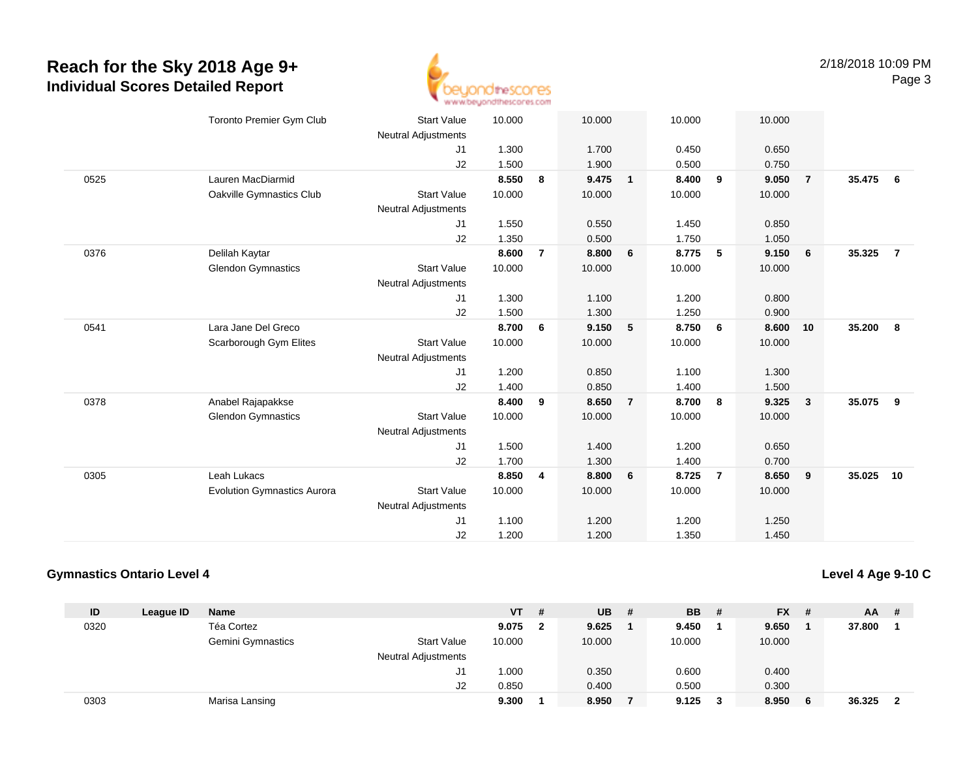

|      | <b>Toronto Premier Gym Club</b>             | <b>Start Value</b><br><b>Neutral Adjustments</b> | 10.000 |                | 10.000 |                | 10.000 |                | 10.000 |              |        |                |
|------|---------------------------------------------|--------------------------------------------------|--------|----------------|--------|----------------|--------|----------------|--------|--------------|--------|----------------|
|      |                                             | J1                                               | 1.300  |                | 1.700  |                | 0.450  |                | 0.650  |              |        |                |
|      |                                             | J2                                               | 1.500  |                | 1.900  |                | 0.500  |                | 0.750  |              |        |                |
| 0525 | Lauren MacDiarmid                           |                                                  | 8.550  | 8              | 9.475  | $\mathbf{1}$   | 8.400  | 9              | 9.050  | -7           | 35.475 | 6              |
|      | Oakville Gymnastics Club                    | <b>Start Value</b>                               | 10.000 |                | 10.000 |                | 10.000 |                | 10.000 |              |        |                |
|      |                                             | <b>Neutral Adjustments</b>                       |        |                |        |                |        |                |        |              |        |                |
|      |                                             | J1                                               | 1.550  |                | 0.550  |                | 1.450  |                | 0.850  |              |        |                |
|      |                                             | J2                                               | 1.350  |                | 0.500  |                | 1.750  |                | 1.050  |              |        |                |
| 0376 |                                             |                                                  | 8.600  | $\overline{7}$ | 8.800  | 6              | 8.775  | 5              | 9.150  | 6            | 35.325 | $\overline{7}$ |
|      | Delilah Kaytar<br><b>Glendon Gymnastics</b> | <b>Start Value</b>                               | 10.000 |                | 10.000 |                | 10.000 |                | 10.000 |              |        |                |
|      |                                             |                                                  |        |                |        |                |        |                |        |              |        |                |
|      |                                             | <b>Neutral Adjustments</b>                       |        |                |        |                |        |                |        |              |        |                |
|      |                                             | J1                                               | 1.300  |                | 1.100  |                | 1.200  |                | 0.800  |              |        |                |
|      |                                             | J2                                               | 1.500  |                | 1.300  |                | 1.250  |                | 0.900  |              |        |                |
| 0541 | Lara Jane Del Greco                         |                                                  | 8.700  | 6              | 9.150  | 5              | 8.750  | 6              | 8.600  | 10           | 35.200 | 8              |
|      | Scarborough Gym Elites                      | <b>Start Value</b>                               | 10.000 |                | 10.000 |                | 10.000 |                | 10.000 |              |        |                |
|      |                                             | <b>Neutral Adjustments</b>                       |        |                |        |                |        |                |        |              |        |                |
|      |                                             | J1                                               | 1.200  |                | 0.850  |                | 1.100  |                | 1.300  |              |        |                |
|      |                                             | J2                                               | 1.400  |                | 0.850  |                | 1.400  |                | 1.500  |              |        |                |
| 0378 | Anabel Rajapakkse                           |                                                  | 8.400  | 9              | 8.650  | $\overline{7}$ | 8.700  | 8              | 9.325  | $\mathbf{3}$ | 35.075 | 9              |
|      | <b>Glendon Gymnastics</b>                   | <b>Start Value</b>                               | 10.000 |                | 10.000 |                | 10.000 |                | 10.000 |              |        |                |
|      |                                             | <b>Neutral Adjustments</b>                       |        |                |        |                |        |                |        |              |        |                |
|      |                                             | J1                                               | 1.500  |                | 1.400  |                | 1.200  |                | 0.650  |              |        |                |
|      |                                             | J2                                               | 1.700  |                | 1.300  |                | 1.400  |                | 0.700  |              |        |                |
| 0305 | Leah Lukacs                                 |                                                  | 8.850  | 4              | 8.800  | 6              | 8.725  | $\overline{7}$ | 8.650  | 9            | 35.025 | 10             |
|      | <b>Evolution Gymnastics Aurora</b>          | <b>Start Value</b>                               | 10.000 |                | 10.000 |                | 10.000 |                | 10.000 |              |        |                |
|      |                                             | <b>Neutral Adjustments</b>                       |        |                |        |                |        |                |        |              |        |                |
|      |                                             | J1                                               | 1.100  |                | 1.200  |                | 1.200  |                | 1.250  |              |        |                |
|      |                                             | J2                                               | 1.200  |                | 1.200  |                | 1.350  |                | 1.450  |              |        |                |

#### **Gymnastics Ontario Level 4**

**Level 4 Age 9-10 C**

| ID   | League ID | Name              |                            | <b>VT</b> | # | <b>UB</b> | # | <b>BB</b> | - # | $FX$ # |     | AA.    | - # |
|------|-----------|-------------------|----------------------------|-----------|---|-----------|---|-----------|-----|--------|-----|--------|-----|
| 0320 |           | Téa Cortez        |                            | 9.075     |   | 9.625     |   | 9.450     |     | 9.650  |     | 37.800 |     |
|      |           | Gemini Gymnastics | <b>Start Value</b>         | 10.000    |   | 10.000    |   | 10.000    |     | 10.000 |     |        |     |
|      |           |                   | <b>Neutral Adjustments</b> |           |   |           |   |           |     |        |     |        |     |
|      |           |                   | J1.                        | 1.000     |   | 0.350     |   | 0.600     |     | 0.400  |     |        |     |
|      |           |                   | J2                         | 0.850     |   | 0.400     |   | 0.500     |     | 0.300  |     |        |     |
| 0303 |           | Marisa Lansing    |                            | 9.300     |   | 8.950     |   | 9.125     | 3   | 8.950  | - 6 | 36.325 | - 2 |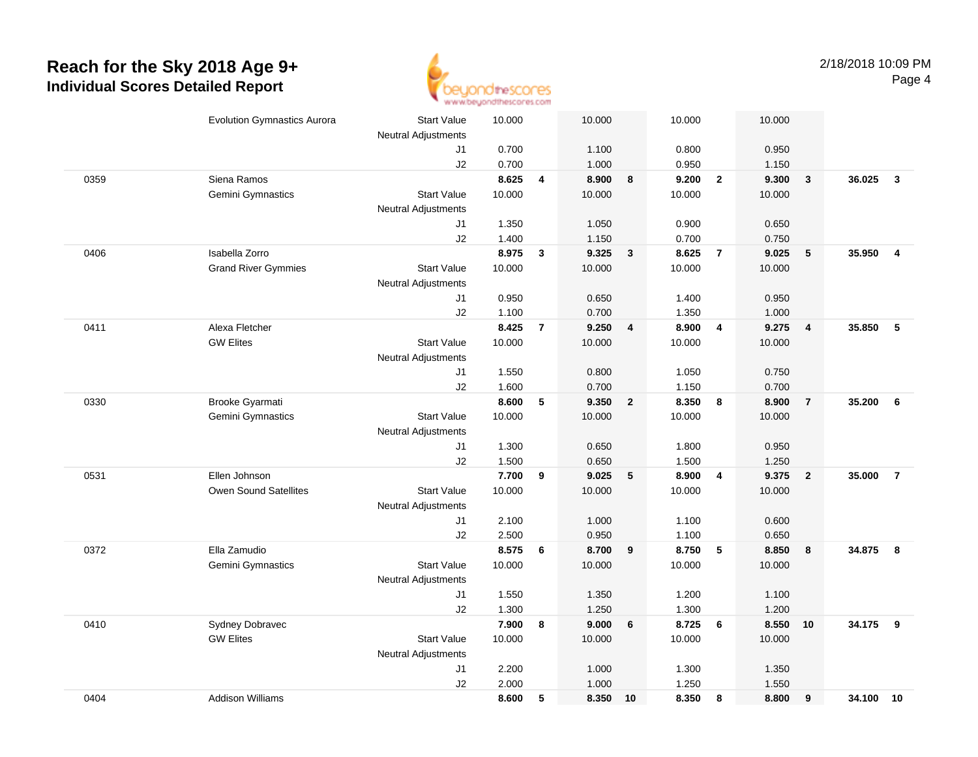

|      | <b>Evolution Gymnastics Aurora</b> | <b>Start Value</b><br><b>Neutral Adjustments</b> | 10.000         |                | 10.000         |                         | 10.000         |                 | 10.000         |                         |           |                |
|------|------------------------------------|--------------------------------------------------|----------------|----------------|----------------|-------------------------|----------------|-----------------|----------------|-------------------------|-----------|----------------|
|      |                                    | J1                                               | 0.700          |                | 1.100          |                         | 0.800          |                 | 0.950          |                         |           |                |
|      |                                    | J2                                               | 0.700          |                | 1.000          |                         | 0.950          |                 | 1.150          |                         |           |                |
| 0359 | Siena Ramos                        |                                                  | 8.625          | 4              | 8.900          | 8                       | 9.200          | $\overline{2}$  | 9.300          | $\overline{\mathbf{3}}$ | 36.025    | $\mathbf{3}$   |
|      | Gemini Gymnastics                  | <b>Start Value</b>                               | 10.000         |                | 10.000         |                         | 10.000         |                 | 10.000         |                         |           |                |
|      |                                    | <b>Neutral Adjustments</b>                       |                |                |                |                         |                |                 |                |                         |           |                |
|      |                                    | J1                                               | 1.350          |                | 1.050          |                         | 0.900          |                 | 0.650          |                         |           |                |
|      |                                    | J2                                               | 1.400          |                | 1.150          |                         | 0.700          |                 | 0.750          |                         |           |                |
| 0406 | Isabella Zorro                     |                                                  | 8.975          | $\mathbf{3}$   | 9.325          | $\mathbf{3}$            | 8.625          | $\overline{7}$  | 9.025          | $5\phantom{.0}$         | 35.950    | $\overline{4}$ |
|      | <b>Grand River Gymmies</b>         | <b>Start Value</b>                               | 10.000         |                | 10.000         |                         | 10.000         |                 | 10.000         |                         |           |                |
|      |                                    | <b>Neutral Adjustments</b>                       |                |                |                |                         |                |                 |                |                         |           |                |
|      |                                    | J1                                               | 0.950          |                | 0.650          |                         | 1.400          |                 | 0.950          |                         |           |                |
|      |                                    | J2                                               | 1.100          |                | 0.700          |                         | 1.350          |                 | 1.000          |                         |           |                |
| 0411 | Alexa Fletcher                     |                                                  | 8.425          | $\overline{7}$ | 9.250          | $\overline{\mathbf{4}}$ | 8.900          | $\overline{4}$  | 9.275          | $\overline{4}$          | 35.850    | - 5            |
|      | <b>GW Elites</b>                   | <b>Start Value</b>                               | 10.000         |                | 10.000         |                         | 10.000         |                 | 10.000         |                         |           |                |
|      |                                    | <b>Neutral Adjustments</b>                       |                |                |                |                         |                |                 |                |                         |           |                |
|      |                                    | J1                                               | 1.550          |                | 0.800          |                         | 1.050          |                 | 0.750          |                         |           |                |
|      |                                    | J2                                               | 1.600          |                | 0.700          |                         | 1.150          |                 | 0.700          |                         |           |                |
| 0330 | Brooke Gyarmati                    |                                                  | 8.600          | 5              | 9.350          | $\mathbf{2}$            | 8.350          | 8               | 8.900          | $\overline{7}$          | 35.200    | 6              |
|      | Gemini Gymnastics                  | <b>Start Value</b>                               | 10.000         |                | 10.000         |                         | 10.000         |                 | 10.000         |                         |           |                |
|      |                                    | <b>Neutral Adjustments</b>                       |                |                |                |                         |                |                 |                |                         |           |                |
|      |                                    | J1                                               | 1.300          |                | 0.650          |                         | 1.800          |                 | 0.950          |                         |           |                |
|      |                                    | J2                                               | 1.500          |                | 0.650          |                         | 1.500          |                 | 1.250          |                         |           |                |
| 0531 | Ellen Johnson                      |                                                  | 7.700          | 9              | 9.025          | 5                       | 8.900          | $\overline{4}$  | 9.375          | $\overline{\mathbf{2}}$ | 35.000    | $\overline{7}$ |
|      | <b>Owen Sound Satellites</b>       | <b>Start Value</b>                               | 10.000         |                | 10.000         |                         | 10.000         |                 | 10.000         |                         |           |                |
|      |                                    | Neutral Adjustments                              |                |                |                |                         |                |                 |                |                         |           |                |
|      |                                    | J1                                               | 2.100          |                | 1.000          |                         | 1.100          |                 | 0.600          |                         |           |                |
| 0372 | Ella Zamudio                       | J2                                               | 2.500<br>8.575 | 6              | 0.950<br>8.700 | $\boldsymbol{9}$        | 1.100<br>8.750 | $5\phantom{.0}$ | 0.650<br>8.850 | 8                       | 34.875    | - 8            |
|      | Gemini Gymnastics                  | <b>Start Value</b>                               | 10.000         |                | 10.000         |                         | 10.000         |                 | 10.000         |                         |           |                |
|      |                                    | <b>Neutral Adjustments</b>                       |                |                |                |                         |                |                 |                |                         |           |                |
|      |                                    | J1                                               | 1.550          |                | 1.350          |                         | 1.200          |                 | 1.100          |                         |           |                |
|      |                                    | J2                                               | 1.300          |                | 1.250          |                         | 1.300          |                 | 1.200          |                         |           |                |
| 0410 | Sydney Dobravec                    |                                                  | 7.900          | 8              | 9.000          | 6                       | 8.725          | 6               | 8.550          | 10                      | 34.175    | 9              |
|      | <b>GW Elites</b>                   | <b>Start Value</b>                               | 10.000         |                | 10.000         |                         | 10.000         |                 | 10.000         |                         |           |                |
|      |                                    | Neutral Adjustments                              |                |                |                |                         |                |                 |                |                         |           |                |
|      |                                    | J1                                               | 2.200          |                | 1.000          |                         | 1.300          |                 | 1.350          |                         |           |                |
|      |                                    | J2                                               | 2.000          |                | 1.000          |                         | 1.250          |                 | 1.550          |                         |           |                |
| 0404 | <b>Addison Williams</b>            |                                                  | 8.600          | 5              | 8.350          | 10                      | 8.350          | 8               | 8.800          | 9                       | 34.100 10 |                |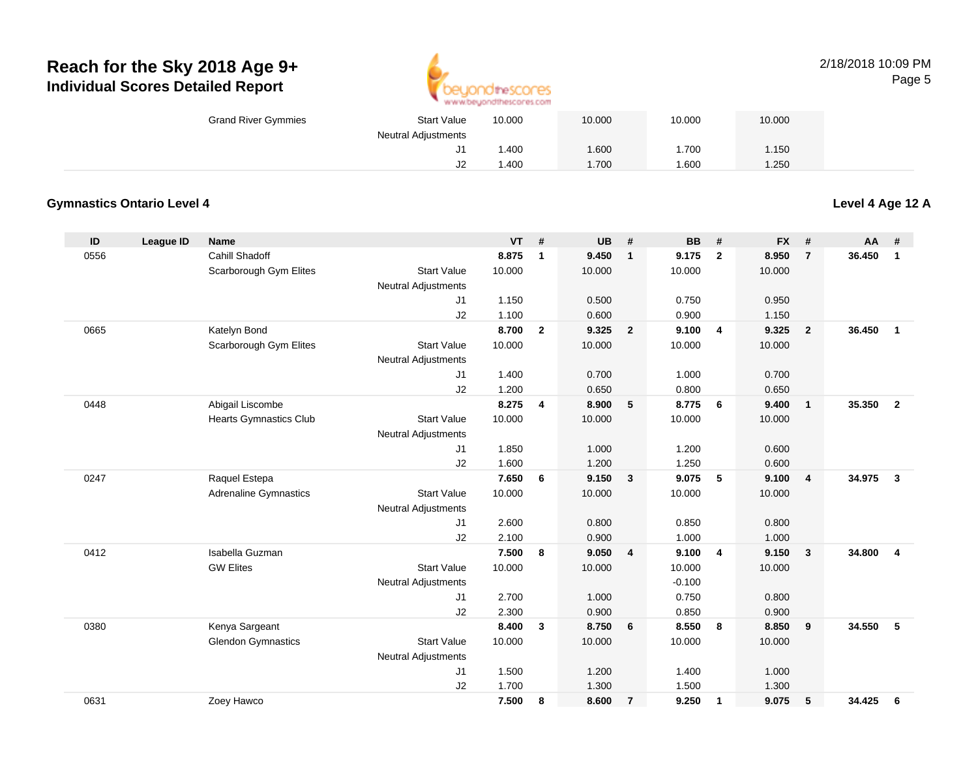

#### 2/18/2018 10:09 PMPage 5

| <b>Grand River Gymmies</b> | <b>Start Value</b>         | 10.000 | 10.000 | 10.000 | 10.000 |  |
|----------------------------|----------------------------|--------|--------|--------|--------|--|
|                            | <b>Neutral Adjustments</b> |        |        |        |        |  |
|                            | J1                         | .400   | 1.600  | .700   | .150   |  |
|                            | J2                         | .400   | 1.700  | .600   | .250   |  |

#### **Gymnastics Ontario Level 4**

**Level 4 Age 12 A**

| ID   | League ID | <b>Name</b>                   |                            | <b>VT</b> | #              | UB     | #                       | <b>BB</b> | #                       | <b>FX</b> | #                       | <b>AA</b> | #                       |
|------|-----------|-------------------------------|----------------------------|-----------|----------------|--------|-------------------------|-----------|-------------------------|-----------|-------------------------|-----------|-------------------------|
| 0556 |           | Cahill Shadoff                |                            | 8.875     | 1              | 9.450  | $\mathbf{1}$            | 9.175     | $\overline{2}$          | 8.950     | $\overline{7}$          | 36.450    | $\mathbf{1}$            |
|      |           | Scarborough Gym Elites        | <b>Start Value</b>         | 10.000    |                | 10.000 |                         | 10.000    |                         | 10.000    |                         |           |                         |
|      |           |                               | <b>Neutral Adjustments</b> |           |                |        |                         |           |                         |           |                         |           |                         |
|      |           |                               | J1                         | 1.150     |                | 0.500  |                         | 0.750     |                         | 0.950     |                         |           |                         |
|      |           |                               | J2                         | 1.100     |                | 0.600  |                         | 0.900     |                         | 1.150     |                         |           |                         |
| 0665 |           | Katelyn Bond                  |                            | 8.700     | $\overline{2}$ | 9.325  | $\overline{2}$          | 9.100     | $\overline{4}$          | 9.325     | $\overline{2}$          | 36,450    | $\mathbf{1}$            |
|      |           | Scarborough Gym Elites        | <b>Start Value</b>         | 10.000    |                | 10.000 |                         | 10.000    |                         | 10.000    |                         |           |                         |
|      |           |                               | <b>Neutral Adjustments</b> |           |                |        |                         |           |                         |           |                         |           |                         |
|      |           |                               | J <sub>1</sub>             | 1.400     |                | 0.700  |                         | 1.000     |                         | 0.700     |                         |           |                         |
|      |           |                               | J2                         | 1.200     |                | 0.650  |                         | 0.800     |                         | 0.650     |                         |           |                         |
| 0448 |           | Abigail Liscombe              |                            | 8.275     | 4              | 8.900  | 5                       | 8.775     | 6                       | 9.400     | $\overline{1}$          | 35.350    | $\overline{2}$          |
|      |           | <b>Hearts Gymnastics Club</b> | <b>Start Value</b>         | 10.000    |                | 10.000 |                         | 10.000    |                         | 10.000    |                         |           |                         |
|      |           |                               | <b>Neutral Adjustments</b> |           |                |        |                         |           |                         |           |                         |           |                         |
|      |           |                               | J1                         | 1.850     |                | 1.000  |                         | 1.200     |                         | 0.600     |                         |           |                         |
|      |           |                               | J2                         | 1.600     |                | 1.200  |                         | 1.250     |                         | 0.600     |                         |           |                         |
| 0247 |           | Raquel Estepa                 |                            | 7.650     | 6              | 9.150  | $\mathbf{3}$            | 9.075     | 5                       | 9.100     | $\overline{4}$          | 34.975    | 3                       |
|      |           | <b>Adrenaline Gymnastics</b>  | <b>Start Value</b>         | 10.000    |                | 10.000 |                         | 10.000    |                         | 10.000    |                         |           |                         |
|      |           |                               | Neutral Adjustments        |           |                |        |                         |           |                         |           |                         |           |                         |
|      |           |                               | J <sub>1</sub>             | 2.600     |                | 0.800  |                         | 0.850     |                         | 0.800     |                         |           |                         |
|      |           |                               | J2                         | 2.100     |                | 0.900  |                         | 1.000     |                         | 1.000     |                         |           |                         |
| 0412 |           | Isabella Guzman               |                            | 7.500     | 8              | 9.050  | $\overline{\mathbf{4}}$ | 9.100     | $\overline{4}$          | 9.150     | $\overline{\mathbf{3}}$ | 34,800    | $\overline{\mathbf{4}}$ |
|      |           | <b>GW Elites</b>              | <b>Start Value</b>         | 10.000    |                | 10.000 |                         | 10.000    |                         | 10.000    |                         |           |                         |
|      |           |                               | <b>Neutral Adjustments</b> |           |                |        |                         | $-0.100$  |                         |           |                         |           |                         |
|      |           |                               | J1                         | 2.700     |                | 1.000  |                         | 0.750     |                         | 0.800     |                         |           |                         |
|      |           |                               | J2                         | 2.300     |                | 0.900  |                         | 0.850     |                         | 0.900     |                         |           |                         |
| 0380 |           | Kenya Sargeant                |                            | 8.400     | 3              | 8.750  | 6                       | 8.550     | 8                       | 8.850     | 9                       | 34.550    | 5                       |
|      |           | <b>Glendon Gymnastics</b>     | <b>Start Value</b>         | 10.000    |                | 10.000 |                         | 10.000    |                         | 10.000    |                         |           |                         |
|      |           |                               | <b>Neutral Adjustments</b> |           |                |        |                         |           |                         |           |                         |           |                         |
|      |           |                               | J1                         | 1.500     |                | 1.200  |                         | 1.400     |                         | 1.000     |                         |           |                         |
|      |           |                               | J2                         | 1.700     |                | 1.300  |                         | 1.500     |                         | 1.300     |                         |           |                         |
| 0631 |           | Zoey Hawco                    |                            | 7.500     | 8              | 8.600  | $\overline{7}$          | 9.250     | $\overline{\mathbf{1}}$ | 9.075     | 5                       | 34.425    | 6                       |
|      |           |                               |                            |           |                |        |                         |           |                         |           |                         |           |                         |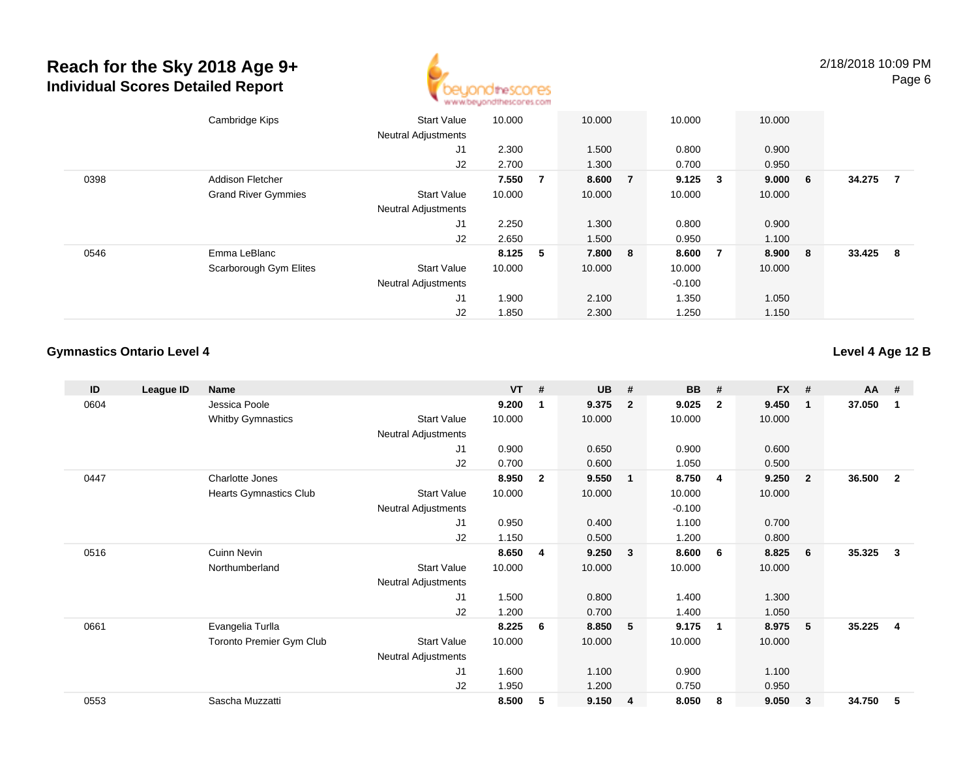

|      | Cambridge Kips             | <b>Start Value</b>         | 10.000    |   | 10.000  |                | 10.000   |                         | 10.000 |     |        |     |
|------|----------------------------|----------------------------|-----------|---|---------|----------------|----------|-------------------------|--------|-----|--------|-----|
|      |                            | <b>Neutral Adjustments</b> |           |   |         |                |          |                         |        |     |        |     |
|      |                            | J1                         | 2.300     |   | 1.500   |                | 0.800    |                         | 0.900  |     |        |     |
|      |                            | J2                         | 2.700     |   | 1.300   |                | 0.700    |                         | 0.950  |     |        |     |
| 0398 | <b>Addison Fletcher</b>    |                            | 7.550     | 7 | 8.600   | $\overline{7}$ | 9.125    | $\overline{\mathbf{3}}$ | 9.000  | - 6 | 34.275 | -7  |
|      | <b>Grand River Gymmies</b> | <b>Start Value</b>         | 10.000    |   | 10.000  |                | 10.000   |                         | 10.000 |     |        |     |
|      |                            | <b>Neutral Adjustments</b> |           |   |         |                |          |                         |        |     |        |     |
|      |                            | J1                         | 2.250     |   | 1.300   |                | 0.800    |                         | 0.900  |     |        |     |
|      |                            | J2                         | 2.650     |   | 1.500   |                | 0.950    |                         | 1.100  |     |        |     |
| 0546 | Emma LeBlanc               |                            | $8.125$ 5 |   | 7.800 8 |                | 8.600    | $\overline{7}$          | 8.900  | - 8 | 33.425 | - 8 |
|      | Scarborough Gym Elites     | <b>Start Value</b>         | 10.000    |   | 10.000  |                | 10.000   |                         | 10.000 |     |        |     |
|      |                            | <b>Neutral Adjustments</b> |           |   |         |                | $-0.100$ |                         |        |     |        |     |
|      |                            | J1                         | 1.900     |   | 2.100   |                | 1.350    |                         | 1.050  |     |        |     |
|      |                            | J2                         | 1.850     |   | 2.300   |                | 1.250    |                         | 1.150  |     |        |     |

#### **Gymnastics Ontario Level 4**

#### **Level 4 Age 12 B**

| ID   | League ID | <b>Name</b>                   |                            | $VT$ # |                | <b>UB</b> | #              | <b>BB</b> | #              | <b>FX</b> | #              | <b>AA</b> | #              |
|------|-----------|-------------------------------|----------------------------|--------|----------------|-----------|----------------|-----------|----------------|-----------|----------------|-----------|----------------|
| 0604 |           | Jessica Poole                 |                            | 9.200  | 1              | 9.375     | $\mathbf{2}$   | 9.025     | $\overline{2}$ | 9.450     | $\mathbf 1$    | 37.050    | 1              |
|      |           | <b>Whitby Gymnastics</b>      | <b>Start Value</b>         | 10.000 |                | 10.000    |                | 10.000    |                | 10.000    |                |           |                |
|      |           |                               | <b>Neutral Adjustments</b> |        |                |           |                |           |                |           |                |           |                |
|      |           |                               | J1                         | 0.900  |                | 0.650     |                | 0.900     |                | 0.600     |                |           |                |
|      |           |                               | J2                         | 0.700  |                | 0.600     |                | 1.050     |                | 0.500     |                |           |                |
| 0447 |           | Charlotte Jones               |                            | 8.950  | $\overline{2}$ | 9.550     | $\overline{1}$ | 8.750     | 4              | 9.250     | $\overline{2}$ | 36.500    | $\overline{2}$ |
|      |           | <b>Hearts Gymnastics Club</b> | <b>Start Value</b>         | 10.000 |                | 10.000    |                | 10.000    |                | 10.000    |                |           |                |
|      |           |                               | Neutral Adjustments        |        |                |           |                | $-0.100$  |                |           |                |           |                |
|      |           |                               | J1                         | 0.950  |                | 0.400     |                | 1.100     |                | 0.700     |                |           |                |
|      |           |                               | J2                         | 1.150  |                | 0.500     |                | 1.200     |                | 0.800     |                |           |                |
| 0516 |           | <b>Cuinn Nevin</b>            |                            | 8.650  | 4              | 9.250     | $\mathbf{3}$   | 8.600     | 6              | 8.825     | 6              | 35.325    | 3              |
|      |           | Northumberland                | <b>Start Value</b>         | 10.000 |                | 10.000    |                | 10.000    |                | 10.000    |                |           |                |
|      |           |                               | Neutral Adjustments        |        |                |           |                |           |                |           |                |           |                |
|      |           |                               | J1                         | 1.500  |                | 0.800     |                | 1.400     |                | 1.300     |                |           |                |
|      |           |                               | J <sub>2</sub>             | 1.200  |                | 0.700     |                | 1.400     |                | 1.050     |                |           |                |
| 0661 |           | Evangelia Turlla              |                            | 8.225  | 6              | 8.850     | 5              | 9.175     | -1             | 8.975     | -5             | 35.225    | $\overline{4}$ |
|      |           | Toronto Premier Gym Club      | <b>Start Value</b>         | 10.000 |                | 10.000    |                | 10.000    |                | 10.000    |                |           |                |
|      |           |                               | <b>Neutral Adjustments</b> |        |                |           |                |           |                |           |                |           |                |
|      |           |                               | J1                         | 1.600  |                | 1.100     |                | 0.900     |                | 1.100     |                |           |                |
|      |           |                               | J2                         | 1.950  |                | 1.200     |                | 0.750     |                | 0.950     |                |           |                |
| 0553 |           | Sascha Muzzatti               |                            | 8.500  | 5              | 9.150     | 4              | 8.050     | 8              | 9.050     | 3              | 34.750    | 5              |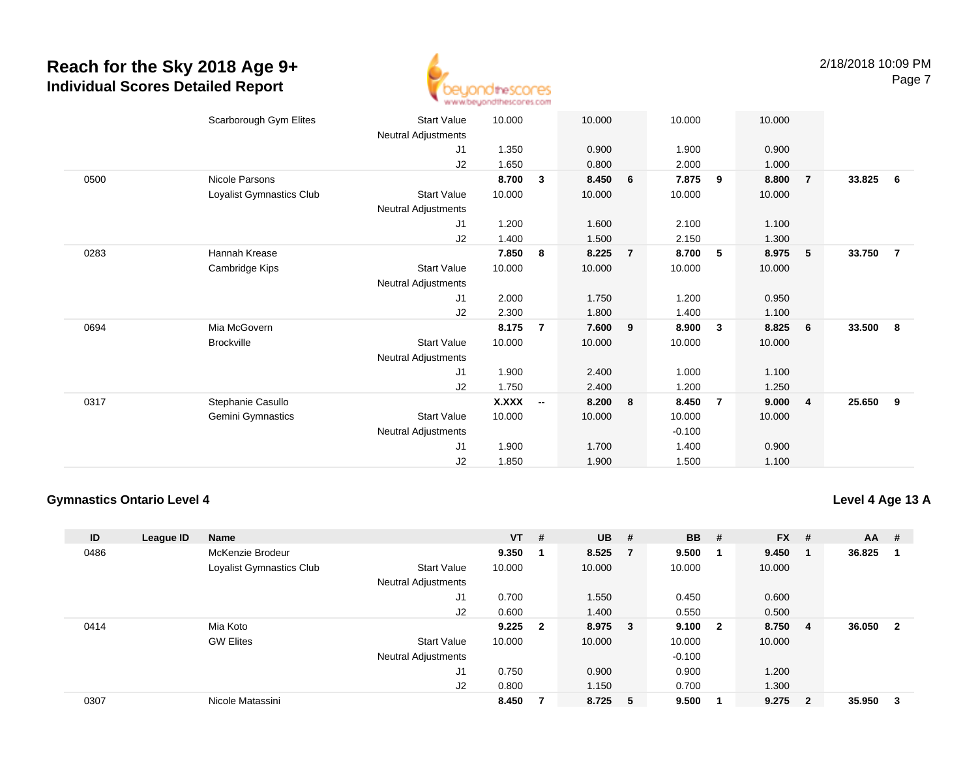

|      | Scarborough Gym Elites   | <b>Start Value</b>         | 10.000 |                          | 10.000 |                | 10.000   |                | 10.000 |                |        |                |
|------|--------------------------|----------------------------|--------|--------------------------|--------|----------------|----------|----------------|--------|----------------|--------|----------------|
|      |                          | Neutral Adjustments        |        |                          |        |                |          |                |        |                |        |                |
|      |                          | J1                         | 1.350  |                          | 0.900  |                | 1.900    |                | 0.900  |                |        |                |
|      |                          | J2                         | 1.650  |                          | 0.800  |                | 2.000    |                | 1.000  |                |        |                |
| 0500 | Nicole Parsons           |                            | 8.700  | 3                        | 8.450  | 6              | 7.875    | 9              | 8.800  | $\overline{7}$ | 33.825 | - 6            |
|      | Loyalist Gymnastics Club | Start Value                | 10.000 |                          | 10.000 |                | 10.000   |                | 10.000 |                |        |                |
|      |                          | Neutral Adjustments        |        |                          |        |                |          |                |        |                |        |                |
|      |                          | J1                         | 1.200  |                          | 1.600  |                | 2.100    |                | 1.100  |                |        |                |
|      |                          | J2                         | 1.400  |                          | 1.500  |                | 2.150    |                | 1.300  |                |        |                |
| 0283 | Hannah Krease            |                            | 7.850  | 8                        | 8.225  | $\overline{7}$ | 8.700    | 5              | 8.975  | $-5$           | 33.750 | $\overline{7}$ |
|      | Cambridge Kips           | <b>Start Value</b>         | 10.000 |                          | 10.000 |                | 10.000   |                | 10.000 |                |        |                |
|      |                          | Neutral Adjustments        |        |                          |        |                |          |                |        |                |        |                |
|      |                          | J1                         | 2.000  |                          | 1.750  |                | 1.200    |                | 0.950  |                |        |                |
|      |                          | J2                         | 2.300  |                          | 1.800  |                | 1.400    |                | 1.100  |                |        |                |
| 0694 | Mia McGovern             |                            | 8.175  | 7                        | 7.600  | 9              | 8.900    | 3              | 8.825  | 6              | 33.500 | 8              |
|      | <b>Brockville</b>        | <b>Start Value</b>         | 10.000 |                          | 10.000 |                | 10.000   |                | 10.000 |                |        |                |
|      |                          | Neutral Adjustments        |        |                          |        |                |          |                |        |                |        |                |
|      |                          | J1                         | 1.900  |                          | 2.400  |                | 1.000    |                | 1.100  |                |        |                |
|      |                          | J2                         | 1.750  |                          | 2.400  |                | 1.200    |                | 1.250  |                |        |                |
| 0317 | Stephanie Casullo        |                            | X.XXX  | $\overline{\phantom{a}}$ | 8.200  | 8              | 8.450    | $\overline{7}$ | 9.000  | $\overline{4}$ | 25.650 | 9              |
|      | Gemini Gymnastics        | <b>Start Value</b>         | 10.000 |                          | 10.000 |                | 10.000   |                | 10.000 |                |        |                |
|      |                          | <b>Neutral Adjustments</b> |        |                          |        |                | $-0.100$ |                |        |                |        |                |
|      |                          | J1                         | 1.900  |                          | 1.700  |                | 1.400    |                | 0.900  |                |        |                |
|      |                          | J2                         | 1.850  |                          | 1.900  |                | 1.500    |                | 1.100  |                |        |                |
|      |                          |                            |        |                          |        |                |          |                |        |                |        |                |

#### **Gymnastics Ontario Level 4**

**Level 4 Age 13 A**

| ID   | League ID | <b>Name</b>              |                            | $VT$ # |                         | $UB$ #  |        | <b>BB</b> | #                       | <b>FX</b> | #                       | AA     | #   |
|------|-----------|--------------------------|----------------------------|--------|-------------------------|---------|--------|-----------|-------------------------|-----------|-------------------------|--------|-----|
| 0486 |           | McKenzie Brodeur         |                            | 9.350  |                         | 8.525   | - 7    | 9.500     | - 1                     | 9.450     |                         | 36.825 |     |
|      |           | Loyalist Gymnastics Club | <b>Start Value</b>         | 10.000 |                         | 10.000  |        | 10.000    |                         | 10.000    |                         |        |     |
|      |           |                          | <b>Neutral Adjustments</b> |        |                         |         |        |           |                         |           |                         |        |     |
|      |           |                          | J1                         | 0.700  |                         | 1.550   |        | 0.450     |                         | 0.600     |                         |        |     |
|      |           |                          | J <sub>2</sub>             | 0.600  |                         | 1.400   |        | 0.550     |                         | 0.500     |                         |        |     |
| 0414 |           | Mia Koto                 |                            | 9.225  | $\overline{\mathbf{2}}$ | 8.975   | $_{3}$ | 9.100     | $\overline{\mathbf{2}}$ | 8.750     | 4                       | 36.050 | - 2 |
|      |           | <b>GW Elites</b>         | <b>Start Value</b>         | 10.000 |                         | 10.000  |        | 10.000    |                         | 10.000    |                         |        |     |
|      |           |                          | <b>Neutral Adjustments</b> |        |                         |         |        | $-0.100$  |                         |           |                         |        |     |
|      |           |                          | J <sub>1</sub>             | 0.750  |                         | 0.900   |        | 0.900     |                         | 1.200     |                         |        |     |
|      |           |                          | J2                         | 0.800  |                         | 1.150   |        | 0.700     |                         | 1.300     |                         |        |     |
| 0307 |           | Nicole Matassini         |                            | 8.450  |                         | 8.725 5 |        | 9.500     |                         | 9.275     | $\overline{\mathbf{2}}$ | 35.950 | -3  |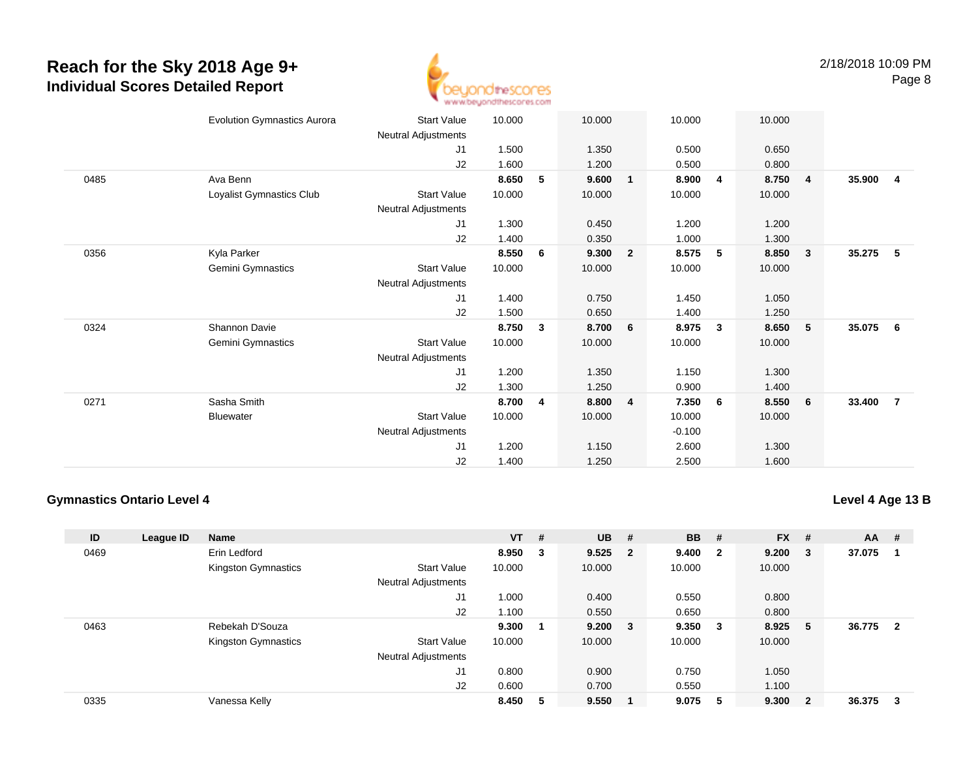

|      | <b>Evolution Gymnastics Aurora</b> | <b>Start Value</b>  | 10.000 |   | 10.000 |                | 10.000   |                | 10.000 |                |        |                |
|------|------------------------------------|---------------------|--------|---|--------|----------------|----------|----------------|--------|----------------|--------|----------------|
|      |                                    | Neutral Adjustments |        |   |        |                |          |                |        |                |        |                |
|      |                                    | J <sub>1</sub>      | 1.500  |   | 1.350  |                | 0.500    |                | 0.650  |                |        |                |
|      |                                    | J2                  | 1.600  |   | 1.200  |                | 0.500    |                | 0.800  |                |        |                |
| 0485 | Ava Benn                           |                     | 8.650  | 5 | 9.600  | $\mathbf{1}$   | 8.900    | $\overline{4}$ | 8.750  | $\overline{4}$ | 35.900 | -4             |
|      | Loyalist Gymnastics Club           | <b>Start Value</b>  | 10.000 |   | 10.000 |                | 10.000   |                | 10.000 |                |        |                |
|      |                                    | Neutral Adjustments |        |   |        |                |          |                |        |                |        |                |
|      |                                    | J1                  | 1.300  |   | 0.450  |                | 1.200    |                | 1.200  |                |        |                |
|      |                                    | J2                  | 1.400  |   | 0.350  |                | 1.000    |                | 1.300  |                |        |                |
| 0356 | Kyla Parker                        |                     | 8.550  | 6 | 9.300  | $\overline{2}$ | 8.575    | 5              | 8.850  | $\mathbf{3}$   | 35.275 | 5              |
|      | Gemini Gymnastics                  | <b>Start Value</b>  | 10.000 |   | 10.000 |                | 10.000   |                | 10.000 |                |        |                |
|      |                                    | Neutral Adjustments |        |   |        |                |          |                |        |                |        |                |
|      |                                    | J1                  | 1.400  |   | 0.750  |                | 1.450    |                | 1.050  |                |        |                |
|      |                                    | J2                  | 1.500  |   | 0.650  |                | 1.400    |                | 1.250  |                |        |                |
| 0324 | <b>Shannon Davie</b>               |                     | 8.750  | 3 | 8.700  | 6              | 8.975    | $\mathbf{3}$   | 8.650  | 5              | 35.075 | - 6            |
|      | Gemini Gymnastics                  | <b>Start Value</b>  | 10.000 |   | 10.000 |                | 10.000   |                | 10.000 |                |        |                |
|      |                                    | Neutral Adjustments |        |   |        |                |          |                |        |                |        |                |
|      |                                    | J1                  | 1.200  |   | 1.350  |                | 1.150    |                | 1.300  |                |        |                |
|      |                                    | J2                  | 1.300  |   | 1.250  |                | 0.900    |                | 1.400  |                |        |                |
| 0271 | Sasha Smith                        |                     | 8.700  | 4 | 8.800  | $\overline{4}$ | 7.350    | 6              | 8.550  | 6              | 33.400 | $\overline{7}$ |
|      | <b>Bluewater</b>                   | Start Value         | 10.000 |   | 10.000 |                | 10.000   |                | 10.000 |                |        |                |
|      |                                    | Neutral Adjustments |        |   |        |                | $-0.100$ |                |        |                |        |                |
|      |                                    | J <sub>1</sub>      | 1.200  |   | 1.150  |                | 2.600    |                | 1.300  |                |        |                |
|      |                                    | J2                  | 1.400  |   | 1.250  |                | 2.500    |                | 1.600  |                |        |                |

#### **Gymnastics Ontario Level 4**

**Level 4 Age 13 B**

| ID   | League ID | Name                |                            | $VT$ # |   | <b>UB</b> | #      | <b>BB</b> | #                       | <b>FX</b> | #                       | <b>AA</b> | #              |
|------|-----------|---------------------|----------------------------|--------|---|-----------|--------|-----------|-------------------------|-----------|-------------------------|-----------|----------------|
| 0469 |           | Erin Ledford        |                            | 8.950  | 3 | $9.525$ 2 |        | 9.400     | $\overline{\mathbf{2}}$ | 9.200     | - 3                     | 37.075    |                |
|      |           | Kingston Gymnastics | <b>Start Value</b>         | 10.000 |   | 10.000    |        | 10.000    |                         | 10.000    |                         |           |                |
|      |           |                     | Neutral Adjustments        |        |   |           |        |           |                         |           |                         |           |                |
|      |           |                     | J1                         | 1.000  |   | 0.400     |        | 0.550     |                         | 0.800     |                         |           |                |
|      |           |                     | J2                         | 1.100  |   | 0.550     |        | 0.650     |                         | 0.800     |                         |           |                |
| 0463 |           | Rebekah D'Souza     |                            | 9.300  |   | 9.200     | $_{3}$ | 9.350     | $\overline{\mathbf{3}}$ | 8.925     | -5                      | 36.775    | $\overline{2}$ |
|      |           | Kingston Gymnastics | <b>Start Value</b>         | 10.000 |   | 10.000    |        | 10.000    |                         | 10.000    |                         |           |                |
|      |           |                     | <b>Neutral Adjustments</b> |        |   |           |        |           |                         |           |                         |           |                |
|      |           |                     | J <sub>1</sub>             | 0.800  |   | 0.900     |        | 0.750     |                         | 1.050     |                         |           |                |
|      |           |                     | J2                         | 0.600  |   | 0.700     |        | 0.550     |                         | 1.100     |                         |           |                |
| 0335 |           | Vanessa Kelly       |                            | 8.450  | 5 | 9.550     |        | 9.075     | -5                      | 9.300     | $\overline{\mathbf{2}}$ | 36.375    | 3              |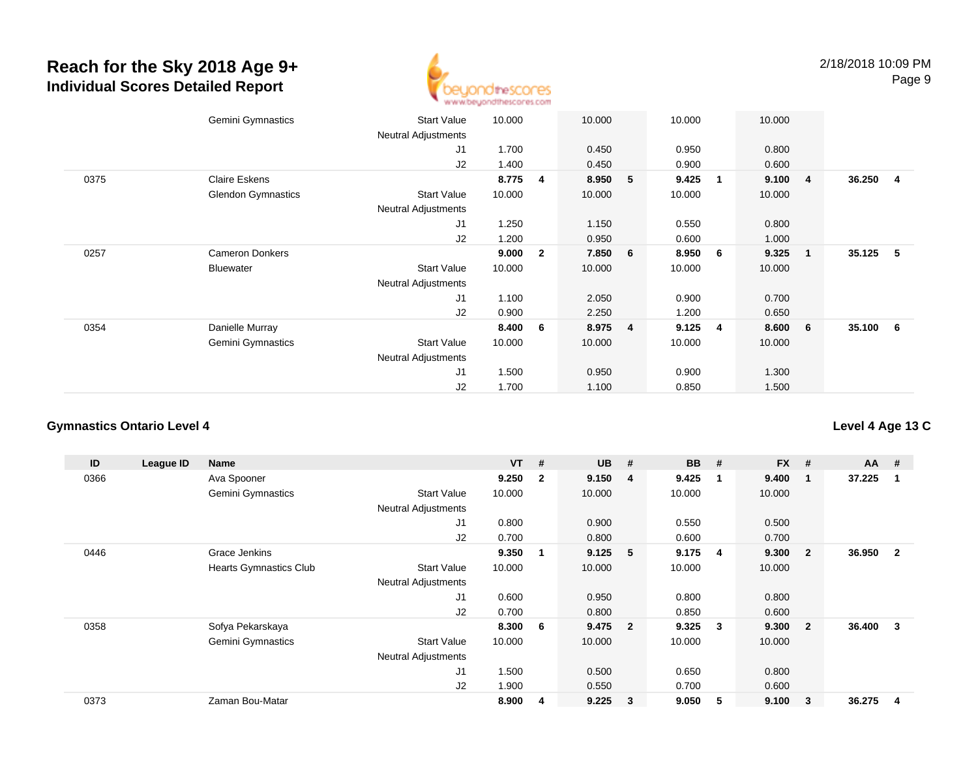

|      | Gemini Gymnastics         | <b>Start Value</b>         | 10.000 | 10.000                  |   | 10.000 |                         | 10.000 |                         |          |     |
|------|---------------------------|----------------------------|--------|-------------------------|---|--------|-------------------------|--------|-------------------------|----------|-----|
|      |                           | <b>Neutral Adjustments</b> |        |                         |   |        |                         |        |                         |          |     |
|      |                           | J1                         | 1.700  | 0.450                   |   | 0.950  |                         | 0.800  |                         |          |     |
|      |                           | J2                         | 1.400  | 0.450                   |   | 0.900  |                         | 0.600  |                         |          |     |
| 0375 | <b>Claire Eskens</b>      |                            | 8.775  | 8.950<br>4              | 5 | 9.425  | $\overline{\mathbf{1}}$ | 9.100  | $\overline{4}$          | 36.250   | - 4 |
|      | <b>Glendon Gymnastics</b> | <b>Start Value</b>         | 10.000 | 10.000                  |   | 10.000 |                         | 10.000 |                         |          |     |
|      |                           | <b>Neutral Adjustments</b> |        |                         |   |        |                         |        |                         |          |     |
|      |                           | J1                         | 1.250  | 1.150                   |   | 0.550  |                         | 0.800  |                         |          |     |
|      |                           | J2                         | 1.200  | 0.950                   |   | 0.600  |                         | 1.000  |                         |          |     |
| 0257 | <b>Cameron Donkers</b>    |                            | 9.000  | 7.850<br>$\overline{2}$ | 6 | 8.950  | $6\overline{6}$         | 9.325  | $\overline{\mathbf{1}}$ | 35.125   | - 5 |
|      | Bluewater                 | <b>Start Value</b>         | 10.000 | 10.000                  |   | 10.000 |                         | 10.000 |                         |          |     |
|      |                           | <b>Neutral Adjustments</b> |        |                         |   |        |                         |        |                         |          |     |
|      |                           | J1                         | 1.100  | 2.050                   |   | 0.900  |                         | 0.700  |                         |          |     |
|      |                           | J2                         | 0.900  | 2.250                   |   | 1.200  |                         | 0.650  |                         |          |     |
| 0354 | Danielle Murray           |                            | 8.400  | 8.975<br>6              | 4 | 9.125  | 4                       | 8.600  | 6                       | 35.100 6 |     |
|      | Gemini Gymnastics         | <b>Start Value</b>         | 10.000 | 10.000                  |   | 10.000 |                         | 10.000 |                         |          |     |
|      |                           | <b>Neutral Adjustments</b> |        |                         |   |        |                         |        |                         |          |     |
|      |                           | J <sub>1</sub>             | 1.500  | 0.950                   |   | 0.900  |                         | 1.300  |                         |          |     |
|      |                           | J <sub>2</sub>             | 1.700  | 1.100                   |   | 0.850  |                         | 1.500  |                         |          |     |
|      |                           |                            |        |                         |   |        |                         |        |                         |          |     |

#### **Gymnastics Ontario Level 4**

**ID League ID Name VT # UB # BB # FX # AA #** 0366 Ava Spooner **9.250 <sup>2</sup> 9.150 <sup>4</sup> 9.425 <sup>1</sup> 9.400 <sup>1</sup> 37.225 <sup>1</sup>** Gemini Gymnastics Start Valuee 10.000 10.000 10.000 10.000 Neutral Adjustments J1 0.800 0.900 0.550 0.500 J2 0.700 0.800 0.600 0.700 0446 Grace Jenkins **9.350 <sup>1</sup> 9.125 <sup>5</sup> 9.175 <sup>4</sup> 9.300 <sup>2</sup> 36.950 <sup>2</sup>** Hearts Gymnastics Club Start Value 10.000 10.000 10.000 10.000 Neutral Adjustments J1 0.600 0.950 0.800 0.800 J2 0.700 0.800 0.850 0.600 0358 Sofya Pekarskaya **8.300 <sup>6</sup> 9.475 <sup>2</sup> 9.325 <sup>3</sup> 9.300 <sup>2</sup> 36.400 <sup>3</sup>** Gemini Gymnastics Start Valuee 10.000 10.000 10.000 10.000 Neutral Adjustments J1 1.500 0.500 0.650 0.800 J2 1.900 0.550 0.700 0.600 0373Zaman Bou-Matar **8.900 <sup>4</sup> 9.225 <sup>3</sup> 9.050 <sup>5</sup> 9.100 <sup>3</sup> 36.275 <sup>4</sup>**

### **Level 4 Age 13 C**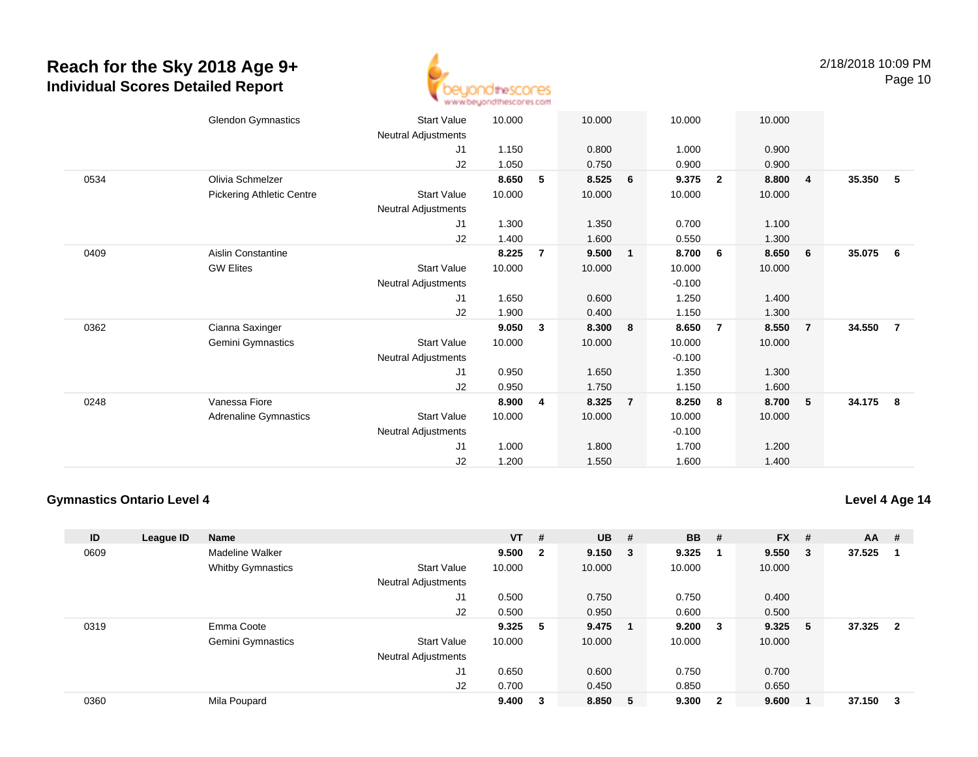

|      | <b>Glendon Gymnastics</b>        | <b>Start Value</b>         | 10.000 |                | 10.000 |                | 10.000   |                | 10.000 |                |        |                |
|------|----------------------------------|----------------------------|--------|----------------|--------|----------------|----------|----------------|--------|----------------|--------|----------------|
|      |                                  | Neutral Adjustments        |        |                |        |                |          |                |        |                |        |                |
|      |                                  | J1                         | 1.150  |                | 0.800  |                | 1.000    |                | 0.900  |                |        |                |
|      |                                  | J2                         | 1.050  |                | 0.750  |                | 0.900    |                | 0.900  |                |        |                |
| 0534 | Olivia Schmelzer                 |                            | 8.650  | 5              | 8.525  | 6              | 9.375    | $\overline{2}$ | 8.800  | $\overline{4}$ | 35.350 | - 5            |
|      | <b>Pickering Athletic Centre</b> | <b>Start Value</b>         | 10.000 |                | 10.000 |                | 10.000   |                | 10.000 |                |        |                |
|      |                                  | Neutral Adjustments        |        |                |        |                |          |                |        |                |        |                |
|      |                                  | J <sub>1</sub>             | 1.300  |                | 1.350  |                | 0.700    |                | 1.100  |                |        |                |
|      |                                  | J2                         | 1.400  |                | 1.600  |                | 0.550    |                | 1.300  |                |        |                |
| 0409 | Aislin Constantine               |                            | 8.225  | $\overline{7}$ | 9.500  | $\mathbf{1}$   | 8.700    | -6             | 8.650  | 6              | 35.075 | 6              |
|      | <b>GW Elites</b>                 | <b>Start Value</b>         | 10.000 |                | 10.000 |                | 10.000   |                | 10.000 |                |        |                |
|      |                                  | Neutral Adjustments        |        |                |        |                | $-0.100$ |                |        |                |        |                |
|      |                                  | J <sub>1</sub>             | 1.650  |                | 0.600  |                | 1.250    |                | 1.400  |                |        |                |
|      |                                  | J2                         | 1.900  |                | 0.400  |                | 1.150    |                | 1.300  |                |        |                |
| 0362 | Cianna Saxinger                  |                            | 9.050  | 3              | 8.300  | 8              | 8.650    | $\overline{7}$ | 8.550  | $\overline{7}$ | 34.550 | $\overline{7}$ |
|      | Gemini Gymnastics                | <b>Start Value</b>         | 10.000 |                | 10.000 |                | 10.000   |                | 10.000 |                |        |                |
|      |                                  | Neutral Adjustments        |        |                |        |                | $-0.100$ |                |        |                |        |                |
|      |                                  | J <sub>1</sub>             | 0.950  |                | 1.650  |                | 1.350    |                | 1.300  |                |        |                |
|      |                                  | J2                         | 0.950  |                | 1.750  |                | 1.150    |                | 1.600  |                |        |                |
| 0248 | Vanessa Fiore                    |                            | 8.900  | 4              | 8.325  | $\overline{7}$ | 8.250    | -8             | 8.700  | 5              | 34.175 | - 8            |
|      | Adrenaline Gymnastics            | <b>Start Value</b>         | 10.000 |                | 10.000 |                | 10.000   |                | 10.000 |                |        |                |
|      |                                  | <b>Neutral Adjustments</b> |        |                |        |                | $-0.100$ |                |        |                |        |                |
|      |                                  | J <sub>1</sub>             | 1.000  |                | 1.800  |                | 1.700    |                | 1.200  |                |        |                |
|      |                                  | J <sub>2</sub>             | 1.200  |                | 1.550  |                | 1.600    |                | 1.400  |                |        |                |
|      |                                  |                            |        |                |        |                |          |                |        |                |        |                |

#### **Gymnastics Ontario Level 4**

**Level 4 Age 14**

| ID   | League ID | <b>Name</b>              |                            | $VT$ # |                         | $UB$ #  |   | <b>BB</b> | - #                     | <b>FX</b> | #      | <b>AA</b> | #              |
|------|-----------|--------------------------|----------------------------|--------|-------------------------|---------|---|-----------|-------------------------|-----------|--------|-----------|----------------|
| 0609 |           | Madeline Walker          |                            | 9.500  | $\overline{\mathbf{2}}$ | 9.150 3 |   | 9.325     | - 1                     | 9.550     | $_{3}$ | 37.525    |                |
|      |           | <b>Whitby Gymnastics</b> | <b>Start Value</b>         | 10.000 |                         | 10.000  |   | 10.000    |                         | 10.000    |        |           |                |
|      |           |                          | <b>Neutral Adjustments</b> |        |                         |         |   |           |                         |           |        |           |                |
|      |           |                          | J1                         | 0.500  |                         | 0.750   |   | 0.750     |                         | 0.400     |        |           |                |
|      |           |                          | J2                         | 0.500  |                         | 0.950   |   | 0.600     |                         | 0.500     |        |           |                |
| 0319 |           | Emma Coote               |                            | 9.325  | -5                      | 9.475   |   | 9.200     | $_{3}$                  | 9.325     | 5      | 37.325    | $\overline{2}$ |
|      |           | Gemini Gymnastics        | <b>Start Value</b>         | 10.000 |                         | 10.000  |   | 10.000    |                         | 10.000    |        |           |                |
|      |           |                          | <b>Neutral Adjustments</b> |        |                         |         |   |           |                         |           |        |           |                |
|      |           |                          | J <sub>1</sub>             | 0.650  |                         | 0.600   |   | 0.750     |                         | 0.700     |        |           |                |
|      |           |                          | J2                         | 0.700  |                         | 0.450   |   | 0.850     |                         | 0.650     |        |           |                |
| 0360 |           | Mila Poupard             |                            | 9.400  | 3                       | 8.850   | 5 | 9.300     | $\overline{\mathbf{2}}$ | 9.600     |        | 37.150    | 3              |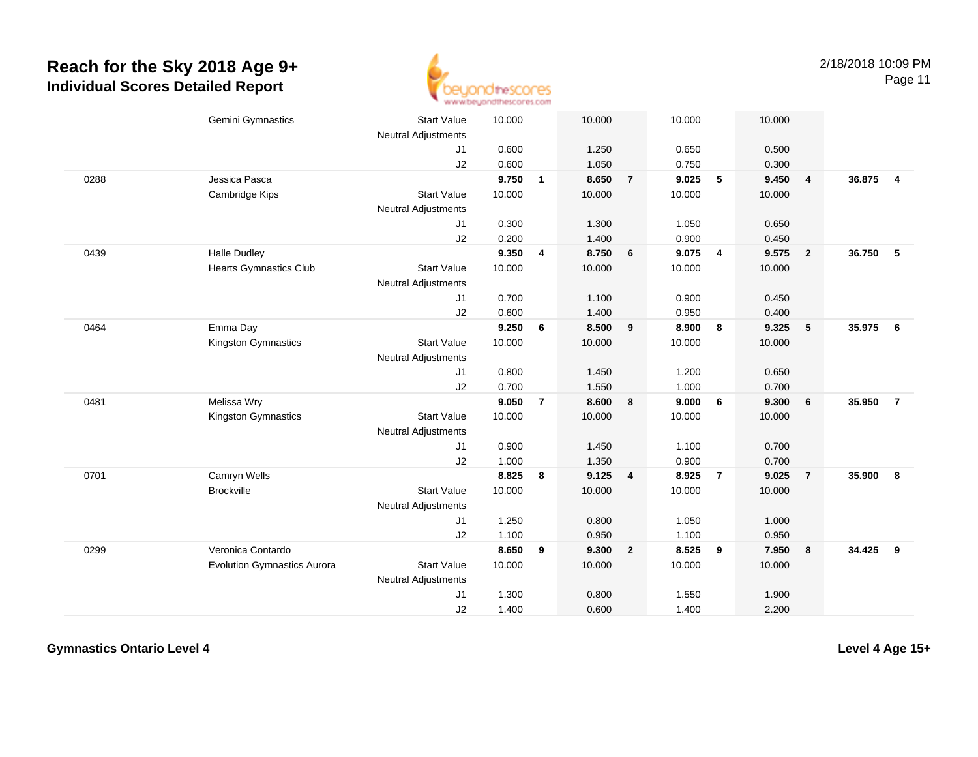0288

0439

0464

0481

0701

0299



Page 11

Gemini Gymnastics Start Valuee 10.000 10.000 10.000 10.000 Neutral Adjustments J1 0.600 1.250 0.650 0.500 J2 0.600 1.050 0.750 0.300 Jessica Pasca **9.750 <sup>1</sup> 8.650 <sup>7</sup> 9.025 <sup>5</sup> 9.450 <sup>4</sup> 36.875 <sup>4</sup>** Cambridge Kips Start Valuee 10.000 10.000 10.000 10.000 Neutral Adjustments J1 0.300 1.300 1.050 0.650 J2 0.200 1.400 0.900 0.450 Halle Dudley **9.350 <sup>4</sup> 8.750 <sup>6</sup> 9.075 <sup>4</sup> 9.575 <sup>2</sup> 36.750 <sup>5</sup>** Hearts Gymnastics Club Start Value 10.000 10.000 10.000 10.000 Neutral Adjustments J1 0.700 1.100 0.900 0.450 J2 0.600 1.400 0.950 0.400 Emma Day **9.250 <sup>6</sup> 8.500 <sup>9</sup> 8.900 <sup>8</sup> 9.325 <sup>5</sup> 35.975 <sup>6</sup>** Kingston Gymnastics Start Valuee 10.000 10.000 10.000 10.000 Neutral Adjustments J1 0.800 1.450 1.200 0.650 J2 0.700 1.550 1.000 0.700 Melissa Wry **9.050 <sup>7</sup> 8.600 <sup>8</sup> 9.000 <sup>6</sup> 9.300 <sup>6</sup> 35.950 <sup>7</sup>** Kingston Gymnastics Start Valuee 10.000 10.000 10.000 10.000 Neutral Adjustments J1 0.900 1.450 1.100 0.700 J2 1.000 1.350 0.900 0.700 Camryn Wells **8.825 <sup>8</sup> 9.125 <sup>4</sup> 8.925 <sup>7</sup> 9.025 <sup>7</sup> 35.900 <sup>8</sup>** Brockville Start Value 10.000 10.000 10.000 10.000 Neutral Adjustments J1 1.250 0.800 1.050 1.000 J2 1.100 0.950 1.100 0.950 Veronica Contardo **8.650 <sup>9</sup> 9.300 <sup>2</sup> 8.525 <sup>9</sup> 7.950 <sup>8</sup> 34.425 <sup>9</sup>** Evolution Gymnastics AuroraStart Value 10.000 10.000 10.000 10.000

Neutral Adjustments

J1

J2

1.300 0.800 1.550 1.900

1.400 0.600 1.400 2.200

**Gymnastics Ontario Level 4**

**Level 4 Age 15+**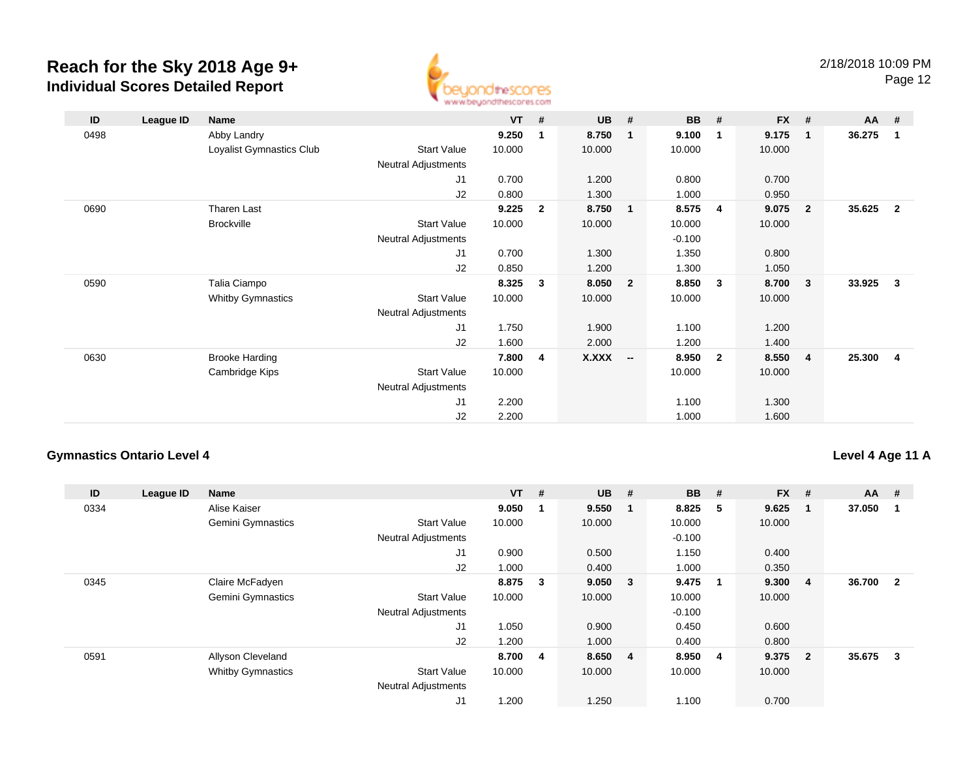

Page 12

| ID   | League ID | Name                     |                            | $VT$ # |              | $UB$ #       |                          | <b>BB</b> | - #            | $FX$ # |                         | AA #   |                         |
|------|-----------|--------------------------|----------------------------|--------|--------------|--------------|--------------------------|-----------|----------------|--------|-------------------------|--------|-------------------------|
| 0498 |           | Abby Landry              |                            | 9.250  | $\mathbf 1$  | 8.750        | 1                        | 9.100     | 1              | 9.175  | $\blacksquare$          | 36.275 | $\blacksquare$          |
|      |           | Loyalist Gymnastics Club | <b>Start Value</b>         | 10.000 |              | 10.000       |                          | 10.000    |                | 10.000 |                         |        |                         |
|      |           |                          | <b>Neutral Adjustments</b> |        |              |              |                          |           |                |        |                         |        |                         |
|      |           |                          | J1                         | 0.700  |              | 1.200        |                          | 0.800     |                | 0.700  |                         |        |                         |
|      |           |                          | J2                         | 0.800  |              | 1.300        |                          | 1.000     |                | 0.950  |                         |        |                         |
| 0690 |           | Tharen Last              |                            | 9.225  | $\mathbf{2}$ | 8.750        | $\mathbf{1}$             | 8.575     | 4              | 9.075  | $\overline{\mathbf{2}}$ | 35.625 | $\overline{\mathbf{2}}$ |
|      |           | <b>Brockville</b>        | <b>Start Value</b>         | 10.000 |              | 10.000       |                          | 10.000    |                | 10.000 |                         |        |                         |
|      |           |                          | Neutral Adjustments        |        |              |              |                          | $-0.100$  |                |        |                         |        |                         |
|      |           |                          | J <sub>1</sub>             | 0.700  |              | 1.300        |                          | 1.350     |                | 0.800  |                         |        |                         |
|      |           |                          | J2                         | 0.850  |              | 1.200        |                          | 1.300     |                | 1.050  |                         |        |                         |
| 0590 |           | Talia Ciampo             |                            | 8.325  | $\mathbf{3}$ | 8.050        | $\overline{2}$           | 8.850     | 3              | 8.700  | $\mathbf{3}$            | 33.925 | $\overline{\mathbf{3}}$ |
|      |           | <b>Whitby Gymnastics</b> | <b>Start Value</b>         | 10.000 |              | 10.000       |                          | 10.000    |                | 10.000 |                         |        |                         |
|      |           |                          | <b>Neutral Adjustments</b> |        |              |              |                          |           |                |        |                         |        |                         |
|      |           |                          | J <sub>1</sub>             | 1.750  |              | 1.900        |                          | 1.100     |                | 1.200  |                         |        |                         |
|      |           |                          | J2                         | 1.600  |              | 2.000        |                          | 1.200     |                | 1.400  |                         |        |                         |
| 0630 |           | <b>Brooke Harding</b>    |                            | 7.800  | 4            | <b>X.XXX</b> | $\overline{\phantom{a}}$ | 8.950     | $\overline{2}$ | 8.550  | $\overline{\mathbf{4}}$ | 25.300 | $\overline{4}$          |
|      |           | Cambridge Kips           | <b>Start Value</b>         | 10.000 |              |              |                          | 10.000    |                | 10.000 |                         |        |                         |
|      |           |                          | Neutral Adjustments        |        |              |              |                          |           |                |        |                         |        |                         |
|      |           |                          | J1                         | 2.200  |              |              |                          | 1.100     |                | 1.300  |                         |        |                         |
|      |           |                          | J2                         | 2.200  |              |              |                          | 1.000     |                | 1.600  |                         |        |                         |

### **Gymnastics Ontario Level 4**

#### **Level 4 Age 11 A**

| ID   | League ID | <b>Name</b>              |                            | $VT$ #  |             | <b>UB</b> | #                       | <b>BB</b> | #                       | <b>FX</b> | #           | <b>AA</b> | #              |
|------|-----------|--------------------------|----------------------------|---------|-------------|-----------|-------------------------|-----------|-------------------------|-----------|-------------|-----------|----------------|
| 0334 |           | Alise Kaiser             |                            | 9.050   | $\mathbf 1$ | 9.550     |                         | 8.825     | - 5                     | 9.625     | $\mathbf 1$ | 37.050    |                |
|      |           | <b>Gemini Gymnastics</b> | <b>Start Value</b>         | 10.000  |             | 10.000    |                         | 10.000    |                         | 10.000    |             |           |                |
|      |           |                          | <b>Neutral Adjustments</b> |         |             |           |                         | $-0.100$  |                         |           |             |           |                |
|      |           |                          | J <sub>1</sub>             | 0.900   |             | 0.500     |                         | 1.150     |                         | 0.400     |             |           |                |
|      |           |                          | J2                         | 1.000   |             | 0.400     |                         | 1.000     |                         | 0.350     |             |           |                |
| 0345 |           | Claire McFadyen          |                            | 8.875   | 3           | 9.050     | $\overline{\mathbf{3}}$ | 9.475     | $\overline{\mathbf{1}}$ | 9.300     | -4          | 36.700    | $\overline{2}$ |
|      |           | Gemini Gymnastics        | <b>Start Value</b>         | 10.000  |             | 10.000    |                         | 10.000    |                         | 10.000    |             |           |                |
|      |           |                          | <b>Neutral Adjustments</b> |         |             |           |                         | $-0.100$  |                         |           |             |           |                |
|      |           |                          | J <sub>1</sub>             | 1.050   |             | 0.900     |                         | 0.450     |                         | 0.600     |             |           |                |
|      |           |                          | J2                         | 1.200   |             | 1.000     |                         | 0.400     |                         | 0.800     |             |           |                |
| 0591 |           | Allyson Cleveland        |                            | 8.700 4 |             | 8.650 4   |                         | 8.950     | $\overline{\mathbf{4}}$ | 9.375     | - 2         | 35.675    | 3              |
|      |           | <b>Whitby Gymnastics</b> | <b>Start Value</b>         | 10.000  |             | 10.000    |                         | 10.000    |                         | 10.000    |             |           |                |
|      |           |                          | <b>Neutral Adjustments</b> |         |             |           |                         |           |                         |           |             |           |                |
|      |           |                          | J1                         | 1.200   |             | 1.250     |                         | 1.100     |                         | 0.700     |             |           |                |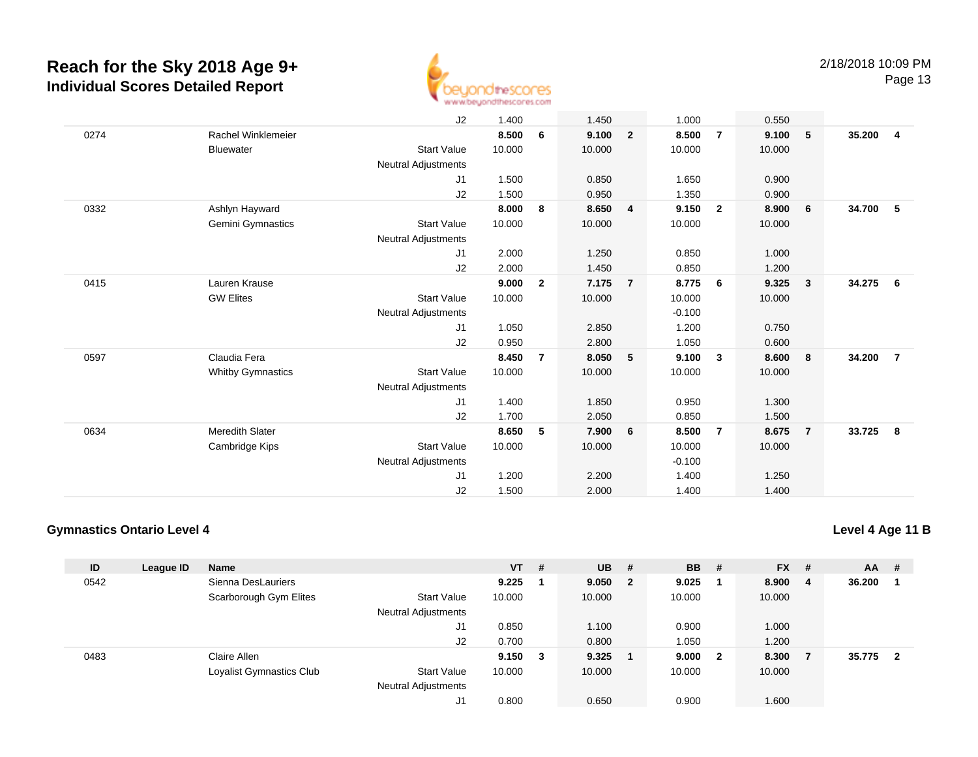

Page 13

|      |                          | J2                         | 1.400  |                | 1.450  |                | 1.000    |                | 0.550  |                         |        |                |
|------|--------------------------|----------------------------|--------|----------------|--------|----------------|----------|----------------|--------|-------------------------|--------|----------------|
| 0274 | Rachel Winklemeier       |                            | 8.500  | 6              | 9.100  | $\overline{2}$ | 8.500    | $\overline{7}$ | 9.100  | 5                       | 35.200 | $\overline{4}$ |
|      | <b>Bluewater</b>         | <b>Start Value</b>         | 10.000 |                | 10.000 |                | 10.000   |                | 10.000 |                         |        |                |
|      |                          | Neutral Adjustments        |        |                |        |                |          |                |        |                         |        |                |
|      |                          | J1                         | 1.500  |                | 0.850  |                | 1.650    |                | 0.900  |                         |        |                |
|      |                          | J2                         | 1.500  |                | 0.950  |                | 1.350    |                | 0.900  |                         |        |                |
| 0332 | Ashlyn Hayward           |                            | 8.000  | 8              | 8.650  | 4              | 9.150    | $\overline{2}$ | 8.900  | 6                       | 34.700 | 5              |
|      | Gemini Gymnastics        | <b>Start Value</b>         | 10.000 |                | 10.000 |                | 10.000   |                | 10.000 |                         |        |                |
|      |                          | Neutral Adjustments        |        |                |        |                |          |                |        |                         |        |                |
|      |                          | J1                         | 2.000  |                | 1.250  |                | 0.850    |                | 1.000  |                         |        |                |
|      |                          | J2                         | 2.000  |                | 1.450  |                | 0.850    |                | 1.200  |                         |        |                |
| 0415 | Lauren Krause            |                            | 9.000  | $\mathbf{2}$   | 7.175  | $\overline{7}$ | 8.775    | 6              | 9.325  | $\overline{\mathbf{3}}$ | 34.275 | 6              |
|      | <b>GW Elites</b>         | <b>Start Value</b>         | 10.000 |                | 10.000 |                | 10.000   |                | 10.000 |                         |        |                |
|      |                          | Neutral Adjustments        |        |                |        |                | $-0.100$ |                |        |                         |        |                |
|      |                          | J1                         | 1.050  |                | 2.850  |                | 1.200    |                | 0.750  |                         |        |                |
|      |                          | J2                         | 0.950  |                | 2.800  |                | 1.050    |                | 0.600  |                         |        |                |
| 0597 | Claudia Fera             |                            | 8.450  | $\overline{7}$ | 8.050  | 5              | 9.100    | 3              | 8.600  | 8                       | 34.200 | $\overline{7}$ |
|      | <b>Whitby Gymnastics</b> | <b>Start Value</b>         | 10.000 |                | 10.000 |                | 10.000   |                | 10.000 |                         |        |                |
|      |                          | Neutral Adjustments        |        |                |        |                |          |                |        |                         |        |                |
|      |                          | J1                         | 1.400  |                | 1.850  |                | 0.950    |                | 1.300  |                         |        |                |
|      |                          | J2                         | 1.700  |                | 2.050  |                | 0.850    |                | 1.500  |                         |        |                |
| 0634 | <b>Meredith Slater</b>   |                            | 8.650  | 5              | 7.900  | 6              | 8.500    | $\overline{7}$ | 8.675  | $\overline{7}$          | 33.725 | 8              |
|      | Cambridge Kips           | <b>Start Value</b>         | 10.000 |                | 10.000 |                | 10.000   |                | 10.000 |                         |        |                |
|      |                          | <b>Neutral Adjustments</b> |        |                |        |                | $-0.100$ |                |        |                         |        |                |
|      |                          | J <sub>1</sub>             | 1.200  |                | 2.200  |                | 1.400    |                | 1.250  |                         |        |                |
|      |                          | J2                         | 1.500  |                | 2.000  |                | 1.400    |                | 1.400  |                         |        |                |

#### **Gymnastics Ontario Level 4**

**Level 4 Age 11 B**

| ID   | League ID | <b>Name</b>              |                            | $VT$ # |   | $UB$ # |                | <b>BB</b> | - #                     | <b>FX</b> | - # | AA     | #   |
|------|-----------|--------------------------|----------------------------|--------|---|--------|----------------|-----------|-------------------------|-----------|-----|--------|-----|
| 0542 |           | Sienna DesLauriers       |                            | 9.225  |   | 9.050  | $\overline{2}$ | 9.025     |                         | 8.900     | - 4 | 36.200 |     |
|      |           | Scarborough Gym Elites   | <b>Start Value</b>         | 10.000 |   | 10.000 |                | 10.000    |                         | 10.000    |     |        |     |
|      |           |                          | <b>Neutral Adjustments</b> |        |   |        |                |           |                         |           |     |        |     |
|      |           |                          | J1                         | 0.850  |   | 1.100  |                | 0.900     |                         | 1.000     |     |        |     |
|      |           |                          | J2                         | 0.700  |   | 0.800  |                | 1.050     |                         | 1.200     |     |        |     |
| 0483 |           | Claire Allen             |                            | 9.150  | 3 | 9.325  |                | 9.000     | $\overline{\mathbf{2}}$ | 8.300     |     | 35.775 | - 2 |
|      |           | Loyalist Gymnastics Club | <b>Start Value</b>         | 10.000 |   | 10.000 |                | 10.000    |                         | 10.000    |     |        |     |
|      |           |                          | <b>Neutral Adjustments</b> |        |   |        |                |           |                         |           |     |        |     |
|      |           |                          | J1                         | 0.800  |   | 0.650  |                | 0.900     |                         | 1.600     |     |        |     |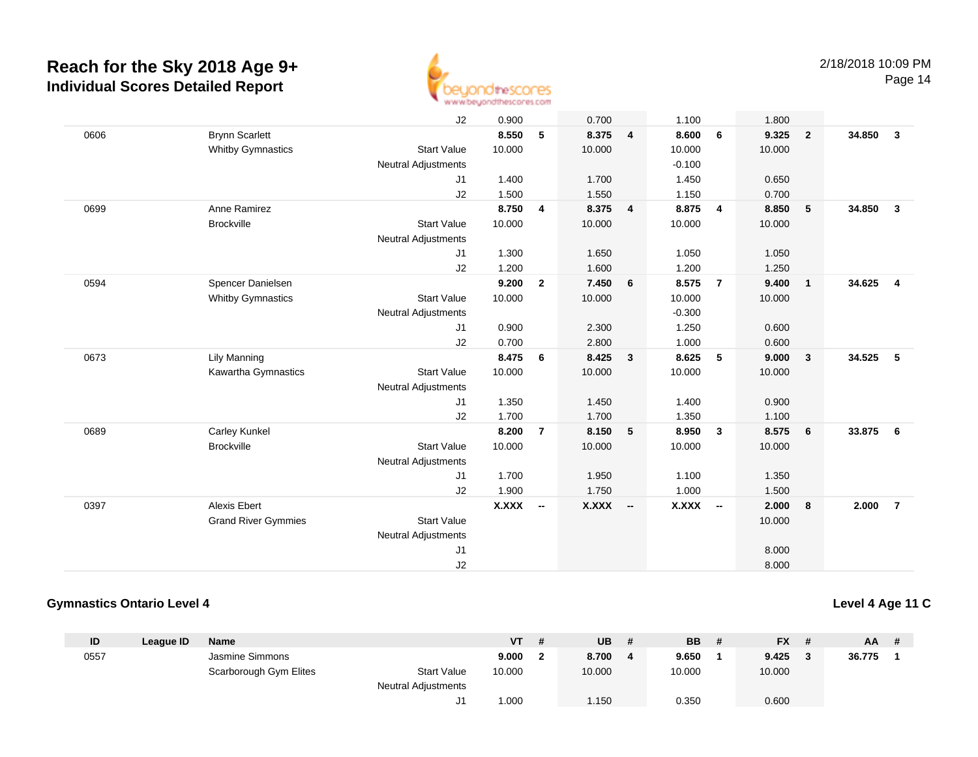

Page 14

|      |                            | J2                         | 0.900        |                          | 0.700    |                | 1.100    |                | 1.800  |                         |                                   |  |
|------|----------------------------|----------------------------|--------------|--------------------------|----------|----------------|----------|----------------|--------|-------------------------|-----------------------------------|--|
| 0606 | <b>Brynn Scarlett</b>      |                            | 8.550        | 5                        | 8.375    | $\overline{4}$ | 8.600    | 6              | 9.325  | $\overline{\mathbf{2}}$ | 34.850<br>$\overline{\mathbf{3}}$ |  |
|      | <b>Whitby Gymnastics</b>   | <b>Start Value</b>         | 10.000       |                          | 10.000   |                | 10.000   |                | 10.000 |                         |                                   |  |
|      |                            | Neutral Adjustments        |              |                          |          |                | $-0.100$ |                |        |                         |                                   |  |
|      |                            | J1                         | 1.400        |                          | 1.700    |                | 1.450    |                | 0.650  |                         |                                   |  |
|      |                            | J2                         | 1.500        |                          | 1.550    |                | 1.150    |                | 0.700  |                         |                                   |  |
| 0699 | Anne Ramirez               |                            | 8.750        | $\overline{4}$           | 8.375    | 4              | 8.875    | 4              | 8.850  | $-5$                    | 34.850<br>$\overline{\mathbf{3}}$ |  |
|      | <b>Brockville</b>          | <b>Start Value</b>         | 10.000       |                          | 10.000   |                | 10.000   |                | 10.000 |                         |                                   |  |
|      |                            | Neutral Adjustments        |              |                          |          |                |          |                |        |                         |                                   |  |
|      |                            | J1                         | 1.300        |                          | 1.650    |                | 1.050    |                | 1.050  |                         |                                   |  |
|      |                            | J2                         | 1.200        |                          | 1.600    |                | 1.200    |                | 1.250  |                         |                                   |  |
| 0594 | Spencer Danielsen          |                            | 9.200        | $\overline{2}$           | 7.450    | 6              | 8.575    | $\overline{7}$ | 9.400  | $\overline{1}$          | 34.625<br>$\overline{4}$          |  |
|      | <b>Whitby Gymnastics</b>   | <b>Start Value</b>         | 10.000       |                          | 10.000   |                | 10.000   |                | 10.000 |                         |                                   |  |
|      |                            | Neutral Adjustments        |              |                          |          |                | $-0.300$ |                |        |                         |                                   |  |
|      |                            | J1                         | 0.900        |                          | 2.300    |                | 1.250    |                | 0.600  |                         |                                   |  |
|      |                            | J2                         | 0.700        |                          | 2.800    |                | 1.000    |                | 0.600  |                         |                                   |  |
| 0673 | <b>Lily Manning</b>        |                            | 8.475        | 6                        | 8.425    | $\mathbf{3}$   | 8.625    | 5              | 9.000  | $\overline{\mathbf{3}}$ | 34.525<br>5                       |  |
|      | Kawartha Gymnastics        | <b>Start Value</b>         | 10.000       |                          | 10.000   |                | 10.000   |                | 10.000 |                         |                                   |  |
|      |                            | Neutral Adjustments        |              |                          |          |                |          |                |        |                         |                                   |  |
|      |                            | J1                         | 1.350        |                          | 1.450    |                | 1.400    |                | 0.900  |                         |                                   |  |
|      |                            | J2                         | 1.700        |                          | 1.700    |                | 1.350    |                | 1.100  |                         |                                   |  |
| 0689 | Carley Kunkel              |                            | 8.200        | $\overline{7}$           | 8.150    | 5              | 8.950    | $\mathbf{3}$   | 8.575  | $6\overline{6}$         | 33.875<br>6                       |  |
|      | <b>Brockville</b>          | <b>Start Value</b>         | 10.000       |                          | 10.000   |                | 10.000   |                | 10.000 |                         |                                   |  |
|      |                            | Neutral Adjustments        |              |                          |          |                |          |                |        |                         |                                   |  |
|      |                            | J1                         | 1.700        |                          | 1.950    |                | 1.100    |                | 1.350  |                         |                                   |  |
|      |                            | J2                         | 1.900        |                          | 1.750    |                | 1.000    |                | 1.500  |                         |                                   |  |
| 0397 | <b>Alexis Ebert</b>        |                            | <b>X.XXX</b> | $\overline{\phantom{a}}$ | X.XXX -- |                | X.XXX    | $\sim$         | 2.000  | 8                       | 2.000<br>$\overline{7}$           |  |
|      | <b>Grand River Gymmies</b> | <b>Start Value</b>         |              |                          |          |                |          |                | 10.000 |                         |                                   |  |
|      |                            | <b>Neutral Adjustments</b> |              |                          |          |                |          |                |        |                         |                                   |  |
|      |                            | J1                         |              |                          |          |                |          |                | 8.000  |                         |                                   |  |
|      |                            | J2                         |              |                          |          |                |          |                | 8.000  |                         |                                   |  |

#### **Gymnastics Ontario Level 4**

#### **Level 4 Age 11 C**

| ID   | League ID | <b>Name</b>            |                            | <b>VT</b> | UB     | <b>BB</b> | <b>FX</b> |   | <b>AA</b> | # |
|------|-----------|------------------------|----------------------------|-----------|--------|-----------|-----------|---|-----------|---|
| 0557 |           | Jasmine Simmons        |                            | 9.000     | 8.700  | 9.650     | 9.425     | ≏ | 36.775    |   |
|      |           | Scarborough Gym Elites | <b>Start Value</b>         | 10.000    | 10.000 | 10.000    | 10.000    |   |           |   |
|      |           |                        | <b>Neutral Adjustments</b> |           |        |           |           |   |           |   |
|      |           |                        | ັບ                         | .000،     | 1.150  | 0.350     | 0.600     |   |           |   |